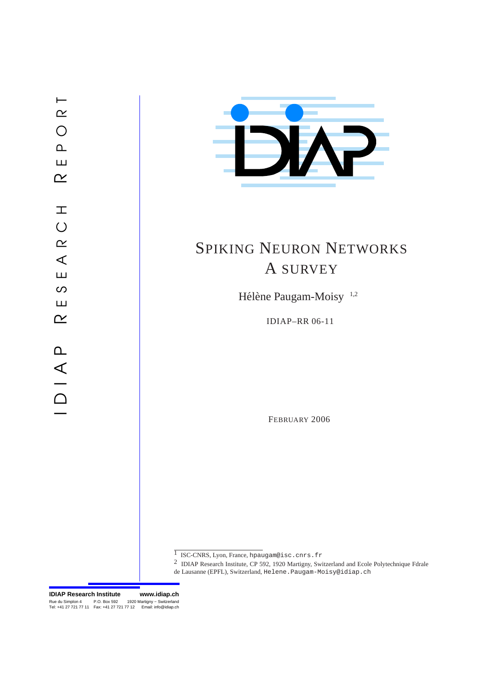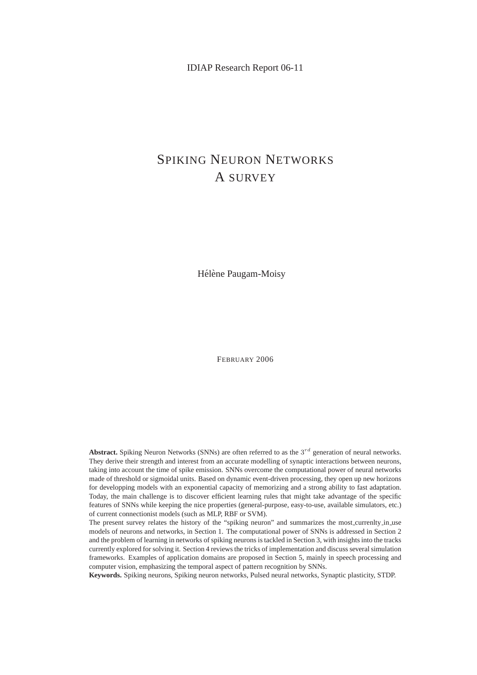IDIAP Research Report 06-11

# SPIKING NEURON NETWORKS A SURVEY

Hélène Paugam-Moisy

FEBRUARY 2006

**Abstract.** Spiking Neuron Networks (SNNs) are often referred to as the  $3^{rd}$  generation of neural networks. They derive their strength and interest from an accurate modelling of synaptic interactions between neurons, taking into account the time of spike emission. SNNs overcome the computational power of neural networks made of threshold or sigmoidal units. Based on dynamic event-driven processing, they open up new horizons for developping models with an exponential capacity of memorizing and a strong ability to fast adaptation. Today, the main challenge is to discover efficient learning rules that might take advantage of the specific features of SNNs while keeping the nice properties (general-purpose, easy-to-use, available simulators, etc.) of current connectionist models (such as MLP, RBF or SVM).

The present survey relates the history of the "spiking neuron" and summarizes the most currenlty in use models of neurons and networks, in Section 1. The computational power of SNNs is addressed in Section 2 and the problem of learning in networks of spiking neurons is tackled in Section 3, with insights into the tracks currently explored for solving it. Section 4 reviews the tricks of implementation and discuss several simulation frameworks. Examples of application domains are proposed in Section 5, mainly in speech processing and computer vision, emphasizing the temporal aspect of pattern recognition by SNNs.

**Keywords.** Spiking neurons, Spiking neuron networks, Pulsed neural networks, Synaptic plasticity, STDP.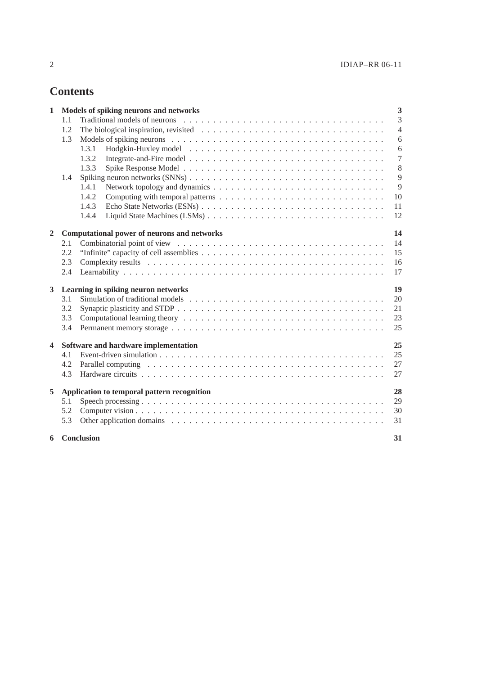# **Contents**

| 1                       | Models of spiking neurons and networks     |                                                                                                                                                                                                                                |         |  |  |  |  |  |  |  |  |
|-------------------------|--------------------------------------------|--------------------------------------------------------------------------------------------------------------------------------------------------------------------------------------------------------------------------------|---------|--|--|--|--|--|--|--|--|
|                         | 1.1                                        |                                                                                                                                                                                                                                |         |  |  |  |  |  |  |  |  |
|                         | 1.2                                        | $\overline{4}$<br>The biological inspiration, revisited $\ldots \ldots \ldots \ldots \ldots \ldots \ldots \ldots \ldots \ldots \ldots$                                                                                         |         |  |  |  |  |  |  |  |  |
|                         | 1.3                                        | 6                                                                                                                                                                                                                              |         |  |  |  |  |  |  |  |  |
|                         |                                            | 1.3.1                                                                                                                                                                                                                          | 6       |  |  |  |  |  |  |  |  |
|                         |                                            | 1.3.2                                                                                                                                                                                                                          | $\tau$  |  |  |  |  |  |  |  |  |
|                         |                                            | 1.3.3                                                                                                                                                                                                                          | $\,8\,$ |  |  |  |  |  |  |  |  |
|                         | 1.4                                        |                                                                                                                                                                                                                                | 9       |  |  |  |  |  |  |  |  |
|                         |                                            | 1.4.1                                                                                                                                                                                                                          | 9       |  |  |  |  |  |  |  |  |
|                         |                                            | 1.4.2                                                                                                                                                                                                                          | 10      |  |  |  |  |  |  |  |  |
|                         |                                            | 1.4.3                                                                                                                                                                                                                          | 11      |  |  |  |  |  |  |  |  |
|                         |                                            | 1.4.4                                                                                                                                                                                                                          | 12      |  |  |  |  |  |  |  |  |
| $\overline{2}$          |                                            | 14<br>Computational power of neurons and networks                                                                                                                                                                              |         |  |  |  |  |  |  |  |  |
|                         | 2.1                                        |                                                                                                                                                                                                                                | 14      |  |  |  |  |  |  |  |  |
|                         | 2.2                                        |                                                                                                                                                                                                                                |         |  |  |  |  |  |  |  |  |
|                         | 2.3                                        |                                                                                                                                                                                                                                | 16      |  |  |  |  |  |  |  |  |
|                         | 2.4                                        |                                                                                                                                                                                                                                |         |  |  |  |  |  |  |  |  |
| $\mathbf{3}$            | 19<br>Learning in spiking neuron networks  |                                                                                                                                                                                                                                |         |  |  |  |  |  |  |  |  |
|                         | 3.1                                        | 20                                                                                                                                                                                                                             |         |  |  |  |  |  |  |  |  |
|                         | 3.2                                        |                                                                                                                                                                                                                                | 21      |  |  |  |  |  |  |  |  |
|                         | 3.3                                        |                                                                                                                                                                                                                                | 23      |  |  |  |  |  |  |  |  |
|                         | 3.4                                        |                                                                                                                                                                                                                                | 25      |  |  |  |  |  |  |  |  |
| $\overline{\mathbf{4}}$ | 25<br>Software and hardware implementation |                                                                                                                                                                                                                                |         |  |  |  |  |  |  |  |  |
|                         | 4.1                                        |                                                                                                                                                                                                                                | 25      |  |  |  |  |  |  |  |  |
|                         | 4.2                                        |                                                                                                                                                                                                                                | 27      |  |  |  |  |  |  |  |  |
|                         | 4.3                                        |                                                                                                                                                                                                                                | 27      |  |  |  |  |  |  |  |  |
| 5                       |                                            | Application to temporal pattern recognition<br>28                                                                                                                                                                              |         |  |  |  |  |  |  |  |  |
|                         | 5.1                                        |                                                                                                                                                                                                                                | 29      |  |  |  |  |  |  |  |  |
|                         | 5.2                                        |                                                                                                                                                                                                                                | 30      |  |  |  |  |  |  |  |  |
|                         | 5.3                                        | Other application domains enterprise in the contract of the contract of the contract of the contract of the contract of the contract of the contract of the contract of the contract of the contract of the contract of the co | 31      |  |  |  |  |  |  |  |  |
| 6                       |                                            | Conclusion                                                                                                                                                                                                                     | 31      |  |  |  |  |  |  |  |  |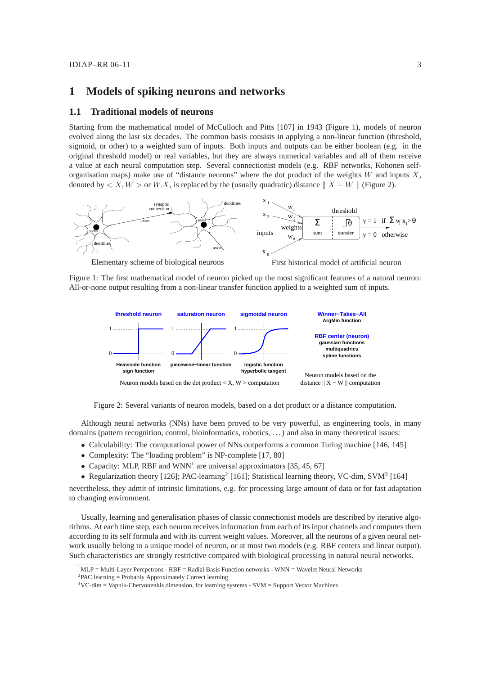# **1 Models of spiking neurons and networks**

# **1.1 Traditional models of neurons**

Starting from the mathematical model of McCulloch and Pitts [107] in 1943 (Figure 1), models of neuron evolved along the last six decades. The common basis consists in applying a non-linear function (threshold, sigmoid, or other) to a weighted sum of inputs. Both inputs and outputs can be either boolean (e.g. in the original threshold model) or real variables, but they are always numerical variables and all of them receive a value at each neural computation step. Several connectionist models (e.g. RBF networks, Kohonen selforganisation maps) make use of "distance neurons" where the dot product of the weights  $W$  and inputs  $X$ , denoted by  $\langle X, W \rangle$  or W.X, is replaced by the (usually quadratic) distance  $|| X - W ||$  (Figure 2).



Figure 1: The first mathematical model of neuron picked up the most significant features of a natural neuron: All-or-none output resulting from a non-linear transfer function applied to a weighted sum of inputs.



Figure 2: Several variants of neuron models, based on a dot product or a distance computation.

Although neural networks (NNs) have been proved to be very powerful, as engineering tools, in many domains (pattern recognition, control, bioinformatics, robotics, . . . ) and also in many theoretical issues:

- Calculability: The computational power of NNs outperforms a common Turing machine [146, 145]
- Complexity: The "loading problem" is NP-complete [17, 80]
- Capacity: MLP, RBF and WNN<sup>1</sup> are universal approximators [35, 45, 67]
- Regularization theory [126]; PAC-learning<sup>2</sup> [161]; Statistical learning theory, VC-dim, SVM<sup>3</sup> [164]

nevertheless, they admit of intrinsic limitations, e.g. for processing large amount of data or for fast adaptation to changing environment.

Usually, learning and generalisation phases of classic connectionist models are described by iterative algorithms. At each time step, each neuron receives information from each of its input channels and computes them according to its self formula and with its current weight values. Moreover, all the neurons of a given neural network usually belong to a unique model of neuron, or at most two models (e.g. RBF centers and linear output). Such characteristics are strongly restrictive compared with biological processing in natural neural networks.

 $1$ MLP = Multi-Layer Percpetrons - RBF = Radial Basis Function networks - WNN = Wavelet Neural Networks

 ${}^{2}$ PAC learning = Probably Approximately Correct learning

 $3VC-dim = Vapnik-Chervonenkis dimension, for learning systems - SVM = Support Vector Machines$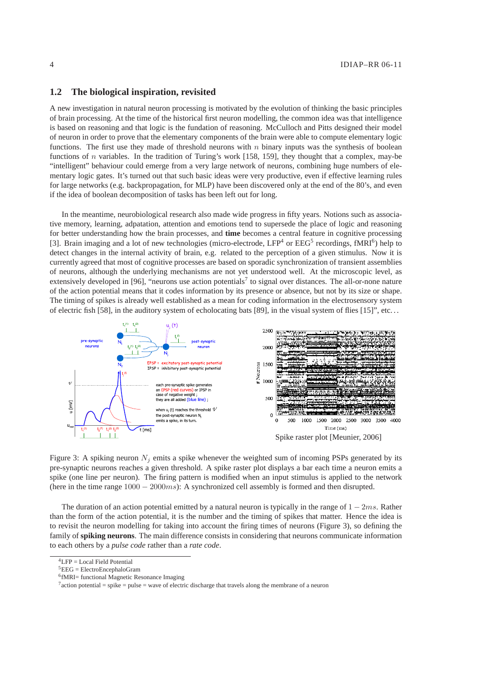#### 4 IDIAP–RR 06-11

# **1.2 The biological inspiration, revisited**

A new investigation in natural neuron processing is motivated by the evolution of thinking the basic principles of brain processing. At the time of the historical first neuron modelling, the common idea was that intelligence is based on reasoning and that logic is the fundation of reasoning. McCulloch and Pitts designed their model of neuron in order to prove that the elementary components of the brain were able to compute elementary logic functions. The first use they made of threshold neurons with  $n$  binary inputs was the synthesis of boolean functions of  $n$  variables. In the tradition of Turing's work [158, 159], they thought that a complex, may-be "intelligent" behaviour could emerge from a very large network of neurons, combining huge numbers of elementary logic gates. It's turned out that such basic ideas were very productive, even if effective learning rules for large networks (e.g. backpropagation, for MLP) have been discovered only at the end of the 80's, and even if the idea of boolean decomposition of tasks has been left out for long.

In the meantime, neurobiological research also made wide progress in fifty years. Notions such as associative memory, learning, adpatation, attention and emotions tend to supersede the place of logic and reasoning for better understanding how the brain processes, and **time** becomes a central feature in cognitive processing [3]. Brain imaging and a lot of new technologies (micro-electrode,  $LFP<sup>4</sup>$  or  $EEG<sup>5</sup>$  recordings, fMRI<sup>6</sup>) help to detect changes in the internal activity of brain, e.g. related to the perception of a given stimulus. Now it is currently agreed that most of cognitive processes are based on sporadic synchronization of transient assemblies of neurons, although the underlying mechanisms are not yet understood well. At the microscopic level, as extensively developed in [96], "neurons use action potentials<sup>7</sup> to signal over distances. The all-or-none nature of the action potential means that it codes information by its presence or absence, but not by its size or shape. The timing of spikes is already well established as a mean for coding information in the electrosensory system of electric fish [58], in the auditory system of echolocating bats [89], in the visual system of flies [15]", etc...



Figure 3: A spiking neuron  $N_i$  emits a spike whenever the weighted sum of incoming PSPs generated by its pre-synaptic neurons reaches a given threshold. A spike raster plot displays a bar each time a neuron emits a spike (one line per neuron). The firing pattern is modified when an input stimulus is applied to the network (here in the time range  $1000 - 2000ms$ ): A synchronized cell assembly is formed and then disrupted.

The duration of an action potential emitted by a natural neuron is typically in the range of  $1 - 2ms$ . Rather than the form of the action potential, it is the number and the timing of spikes that matter. Hence the idea is to revisit the neuron modelling for taking into account the firing times of neurons (Figure 3), so defining the family of **spiking neurons**. The main difference consists in considering that neurons communicate information to each others by a *pulse code* rather than a *rate code*.

<sup>4</sup>LFP = Local Field Potential

 ${}^{5}EEG = ElectroEncephaloGram$ 

<sup>6</sup> fMRI= functional Magnetic Resonance Imaging

 $7$  action potential = spike = pulse = wave of electric discharge that travels along the membrane of a neuron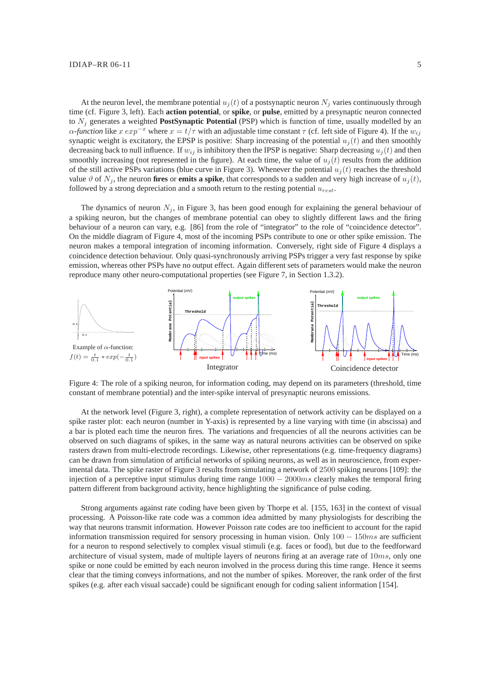At the neuron level, the membrane potential  $u_i(t)$  of a postsynaptic neuron  $N_i$  varies continuously through time (cf. Figure 3, left). Each **action potential**, or **spike**, or **pulse**, emitted by a presynaptic neuron connected to N<sup>j</sup> generates a weighted **PostSynaptic Potential** (PSP) which is function of time, usually modelled by an  $\alpha$ -function like  $x \exp^{-x}$  where  $x = t/\tau$  with an adjustable time constant  $\tau$  (cf. left side of Figure 4). If the  $w_{ij}$ synaptic weight is excitatory, the EPSP is positive: Sharp increasing of the potential  $u_i(t)$  and then smoothly decreasing back to null influence. If  $w_{ij}$  is inhibitory then the IPSP is negative: Sharp decreasing  $u_i(t)$  and then smoothly increasing (not represented in the figure). At each time, the value of  $u_i(t)$  results from the addition of the still active PSPs variations (blue curve in Figure 3). Whenever the potential  $u_i(t)$  reaches the threshold value  $\vartheta$  of  $N_i$ , the neuron **fires** or **emits a spike**, that corresponds to a sudden and very high increase of  $u_i(t)$ , followed by a strong depreciation and a smooth return to the resting potential  $u_{rest}$ .

The dynamics of neuron  $N_i$ , in Figure 3, has been good enough for explaining the general behaviour of a spiking neuron, but the changes of membrane potential can obey to slightly different laws and the firing behaviour of a neuron can vary, e.g. [86] from the role of "integrator" to the role of "coincidence detector". On the middle diagram of Figure 4, most of the incoming PSPs contribute to one or other spike emission. The neuron makes a temporal integration of incoming information. Conversely, right side of Figure 4 displays a coincidence detection behaviour. Only quasi-synchronously arriving PSPs trigger a very fast response by spike emission, whereas other PSPs have no output effect. Again different sets of parameters would make the neuron reproduce many other neuro-computational properties (see Figure 7, in Section 1.3.2).



Figure 4: The role of a spiking neuron, for information coding, may depend on its parameters (threshold, time constant of membrane potential) and the inter-spike interval of presynaptic neurons emissions.

At the network level (Figure 3, right), a complete representation of network activity can be displayed on a spike raster plot: each neuron (number in Y-axis) is represented by a line varying with time (in abscissa) and a bar is ploted each time the neuron fires. The variations and frequencies of all the neurons activities can be observed on such diagrams of spikes, in the same way as natural neurons activities can be observed on spike rasters drawn from multi-electrode recordings. Likewise, other representations (e.g. time-frequency diagrams) can be drawn from simulation of artificial networks of spiking neurons, as well as in neuroscience, from experimental data. The spike raster of Figure 3 results from simulating a network of 2500 spiking neurons [109]: the injection of a perceptive input stimulus during time range  $1000 - 2000ms$  clearly makes the temporal firing pattern different from background activity, hence highlighting the significance of pulse coding.

Strong arguments against rate coding have been given by Thorpe et al. [155, 163] in the context of visual processing. A Poisson-like rate code was a common idea admitted by many physiologists for describing the way that neurons transmit information. However Poisson rate codes are too inefficient to account for the rapid information transmission required for sensory processing in human vision. Only  $100 - 150ms$  are sufficient for a neuron to respond selectively to complex visual stimuli (e.g. faces or food), but due to the feedforward architecture of visual system, made of multiple layers of neurons firing at an average rate of  $10ms$ , only one spike or none could be emitted by each neuron involved in the process during this time range. Hence it seems clear that the timing conveys informations, and not the number of spikes. Moreover, the rank order of the first spikes (e.g. after each visual saccade) could be significant enough for coding salient information [154].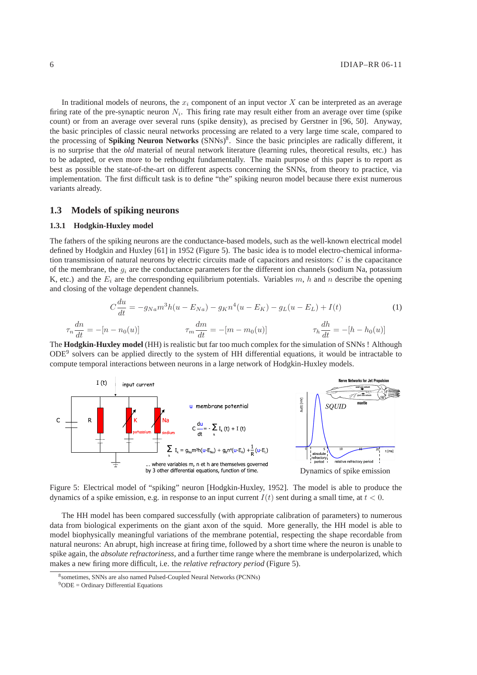In traditional models of neurons, the  $x_i$  component of an input vector X can be interpreted as an average firing rate of the pre-synaptic neuron  $N_i$ . This firing rate may result either from an average over time (spike count) or from an average over several runs (spike density), as precised by Gerstner in [96, 50]. Anyway, the basic principles of classic neural networks processing are related to a very large time scale, compared to the processing of **Spiking Neuron Networks** (SNNs)<sup>8</sup>. Since the basic principles are radically different, it is no surprise that the *old* material of neural network literature (learning rules, theoretical results, etc.) has to be adapted, or even more to be rethought fundamentally. The main purpose of this paper is to report as best as possible the state-of-the-art on different aspects concerning the SNNs, from theory to practice, via implementation. The first difficult task is to define "the" spiking neuron model because there exist numerous variants already.

# **1.3 Models of spiking neurons**

### **1.3.1 Hodgkin-Huxley model**

The fathers of the spiking neurons are the conductance-based models, such as the well-known electrical model defined by Hodgkin and Huxley [61] in 1952 (Figure 5). The basic idea is to model electro-chemical information transmission of natural neurons by electric circuits made of capacitors and resistors:  $C$  is the capacitance of the membrane, the  $g_i$  are the conductance parameters for the different ion channels (sodium Na, potassium K, etc.) and the  $E_i$  are the corresponding equilibrium potentials. Variables m, h and n describe the opening and closing of the voltage dependent channels.

$$
C\frac{du}{dt} = -g_{Na}m^{3}h(u - E_{Na}) - g_{K}n^{4}(u - E_{K}) - g_{L}(u - E_{L}) + I(t)
$$
(1)  

$$
\tau_{n}\frac{dn}{dt} = -[n - n_{0}(u)] \qquad \tau_{m}\frac{dm}{dt} = -[m - m_{0}(u)] \qquad \tau_{h}\frac{dh}{dt} = -[h - h_{0}(u)]
$$

The **Hodgkin-Huxley model** (HH) is realistic but far too much complex for the simulation of SNNs ! Although ODE<sup>9</sup> solvers can be applied directly to the system of HH differential equations, it would be intractable to compute temporal interactions between neurons in a large network of Hodgkin-Huxley models.



Figure 5: Electrical model of "spiking" neuron [Hodgkin-Huxley, 1952]. The model is able to produce the dynamics of a spike emission, e.g. in response to an input current  $I(t)$  sent during a small time, at  $t < 0$ .

The HH model has been compared successfully (with appropriate calibration of parameters) to numerous data from biological experiments on the giant axon of the squid. More generally, the HH model is able to model biophysically meaningful variations of the membrane potential, respecting the shape recordable from natural neurons: An abrupt, high increase at firing time, followed by a short time where the neuron is unable to spike again, the *absolute refractoriness*, and a further time range where the membrane is underpolarized, which makes a new firing more difficult, i.e. the *relative refractory period* (Figure 5).

<sup>8</sup> sometimes, SNNs are also named Pulsed-Coupled Neural Networks (PCNNs)

 $9^9$ ODE = Ordinary Differential Equations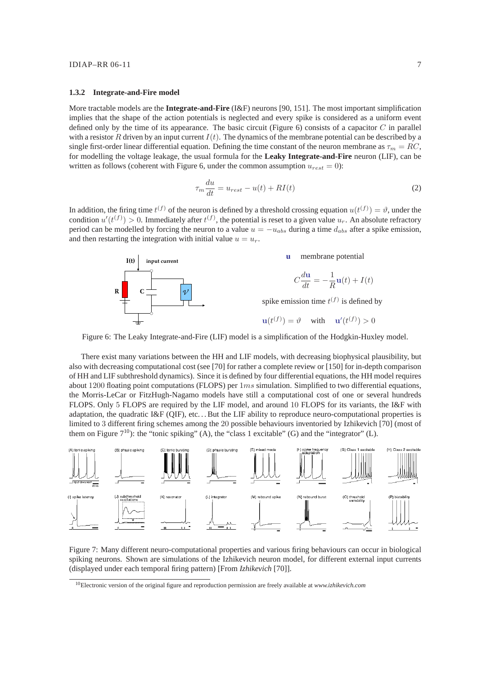#### **1.3.2 Integrate-and-Fire model**

More tractable models are the **Integrate-and-Fire** (I&F) neurons [90, 151]. The most important simplification implies that the shape of the action potentials is neglected and every spike is considered as a uniform event defined only by the time of its appearance. The basic circuit (Figure  $6$ ) consists of a capacitor  $C$  in parallel with a resistor R driven by an input current  $I(t)$ . The dynamics of the membrane potential can be described by a single first-order linear differential equation. Defining the time constant of the neuron membrane as  $\tau_m = RC$ , for modelling the voltage leakage, the usual formula for the **Leaky Integrate-and-Fire** neuron (LIF), can be written as follows (coherent with Figure 6, under the common assumption  $u_{rest} = 0$ ):

$$
\tau_m \frac{du}{dt} = u_{rest} - u(t) + RI(t) \tag{2}
$$

In addition, the firing time  $t^{(f)}$  of the neuron is defined by a threshold crossing equation  $u(t^{(f)}) = \vartheta$ , under the condition  $u'(t^{(f)}) > 0$ . Immediately after  $t^{(f)}$ , the potential is reset to a given value  $u_r$ . An absolute refractory period can be modelled by forcing the neuron to a value  $u = -u_{abs}$  during a time  $d_{abs}$  after a spike emission, and then restarting the integration with initial value  $u = u_r$ .



Figure 6: The Leaky Integrate-and-Fire (LIF) model is a simplification of the Hodgkin-Huxley model.

There exist many variations between the HH and LIF models, with decreasing biophysical plausibility, but also with decreasing computational cost (see [70] for rather a complete review or [150] for in-depth comparison of HH and LIF subthreshold dynamics). Since it is defined by four differential equations, the HH model requires about 1200 floating point computations (FLOPS) per  $1ms$  simulation. Simplified to two differential equations, the Morris-LeCar or FitzHugh-Nagamo models have still a computational cost of one or several hundreds FLOPS. Only 5 FLOPS are required by the LIF model, and around 10 FLOPS for its variants, the I&F with adaptation, the quadratic I&F (QIF), etc. . . But the LIF ability to reproduce neuro-computational properties is limited to 3 different firing schemes among the 20 possible behaviours inventoried by Izhikevich [70] (most of them on Figure  $7^{10}$ ): the "tonic spiking" (A), the "class 1 excitable" (G) and the "integrator" (L).



Figure 7: Many different neuro-computational properties and various firing behaviours can occur in biological spiking neurons. Shown are simulations of the Izhikevich neuron model, for different external input currents (displayed under each temporal firing pattern) [From *Izhikevich* [70]].

<sup>10</sup>Electronic version of the original figure and reproduction permission are freely available at *www.izhikevich.com*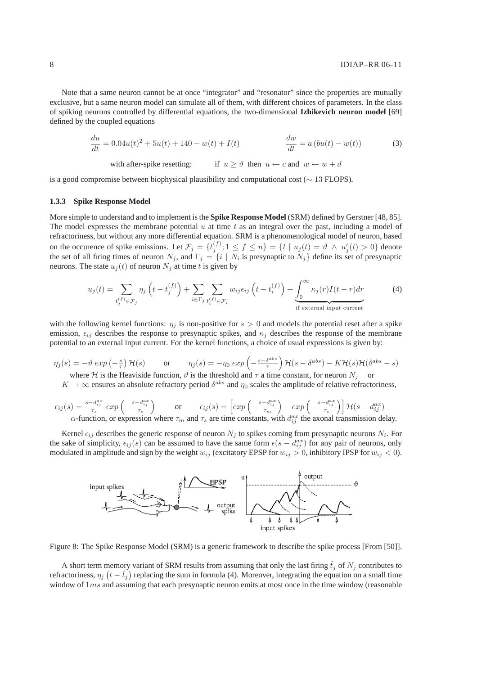Note that a same neuron cannot be at once "integrator" and "resonator" since the properties are mutually exclusive, but a same neuron model can simulate all of them, with different choices of parameters. In the class of spiking neurons controlled by differential equations, the two-dimensional **Izhikevich neuron model** [69] defined by the coupled equations

$$
\frac{du}{dt} = 0.04u(t)^2 + 5u(t) + 140 - w(t) + I(t) \qquad \qquad \frac{dw}{dt} = a\left(bu(t) - w(t)\right) \tag{3}
$$

with after-spike resetting: if  $u > \vartheta$  then  $u \leftarrow c$  and  $w \leftarrow w + d$ 

is a good compromise between biophysical plausibility and computational cost ( $\sim$  13 FLOPS).

#### **1.3.3 Spike Response Model**

More simple to understand and to implement is the **Spike Response Model** (SRM) defined by Gerstner [48, 85]. The model expresses the membrane potential  $u$  at time  $t$  as an integral over the past, including a model of refractoriness, but without any more differential equation. SRM is a phenomenological model of neuron, based on the occurence of spike emissions. Let  $\mathcal{F}_j = \{t_j^{(f)}: 1 \leq f \leq n\} = \{t \mid u_j(t) = \vartheta \land u'_j(t) > 0\}$  denote the set of all firing times of neuron  $N_j$ , and  $\Gamma_j = \{i \mid N_i$  is presynaptic to  $N_j\}$  define its set of presynaptic neurons. The state  $u_j(t)$  of neuron  $N_j$  at time t is given by

$$
u_j(t) = \sum_{t_j^{(f)} \in \mathcal{F}_j} \eta_j \left( t - t_j^{(f)} \right) + \sum_{i \in \Gamma_j} \sum_{t_i^{(f)} \in \mathcal{F}_i} w_{ij} \epsilon_{ij} \left( t - t_i^{(f)} \right) + \underbrace{\int_0^\infty \kappa_j(r) I(t - r) dr}_{\text{if external input current}}
$$
(4)

with the following kernel functions:  $\eta_i$  is non-positive for  $s > 0$  and models the potential reset after a spike emission,  $\epsilon_{ij}$  describes the response to presynaptic spikes, and  $\kappa_j$  describes the response of the membrane potential to an external input current. For the kernel functions, a choice of usual expressions is given by:

$$
\eta_j(s) = -\vartheta \exp\left(-\frac{s}{\tau}\right) \mathcal{H}(s) \qquad \text{or} \qquad \eta_j(s) = -\eta_0 \exp\left(-\frac{s - \delta^{abs}}{\tau}\right) \mathcal{H}(s - \delta^{abs}) - K \mathcal{H}(s) \mathcal{H}(\delta^{abs} - s)
$$

where H is the Heaviside function,  $\vartheta$  is the threshold and  $\tau$  a time constant, for neuron  $N_j$  or

 $K \to \infty$  ensures an absolute refractory period  $\delta^{abs}$  and  $\eta_0$  scales the amplitude of relative refractoriness,

$$
\epsilon_{ij}(s) = \frac{s - d_{ij}^{ax}}{\tau_s} \exp\left(-\frac{s - d_{ij}^{ax}}{\tau_s}\right) \quad \text{or} \quad \epsilon_{ij}(s) = \left[\exp\left(-\frac{s - d_{ij}^{ax}}{\tau_m}\right) - \exp\left(-\frac{s - d_{ij}^{ax}}{\tau_s}\right)\right] \mathcal{H}(s - d_{ij}^{ax})
$$
\n
$$
\alpha\text{-function, or expression where } \tau_m \text{ and } \tau_s \text{ are time constants, with } d_{ij}^{ax} \text{ the axonal transmission delay.}
$$

Kernel  $\epsilon_{ij}$  describes the generic response of neuron  $N_j$  to spikes coming from presynaptic neurons  $N_i$ . For the sake of simplicity,  $\epsilon_{ij}(s)$  can be assumed to have the same form  $\epsilon(s - d_{ij}^{ax})$  for any pair of neurons, only modulated in amplitude and sign by the weight  $w_{ij}$  (excitatory EPSP for  $w_{ij} > 0$ , inhibitory IPSP for  $w_{ij} < 0$ ).



Figure 8: The Spike Response Model (SRM) is a generic framework to describe the spike process [From [50]].

A short term memory variant of SRM results from assuming that only the last firing  $\hat{t}_j$  of  $N_j$  contributes to refractoriness,  $\eta_j$   $(t - \hat{t}_j)$  replacing the sum in formula (4). Moreover, integrating the equation on a small time window of  $1ms$  and assuming that each presynaptic neuron emits at most once in the time window (reasonable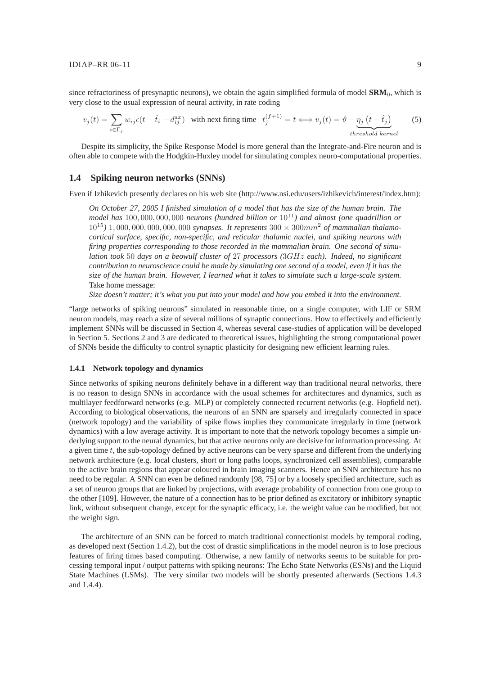since refractoriness of presynaptic neurons), we obtain the again simplified formula of model SRM<sub>0</sub>, which is very close to the usual expression of neural activity, in rate coding

$$
v_j(t) = \sum_{i \in \Gamma_j} w_{ij} \epsilon(t - \hat{t}_i - d_{ij}^{ax}) \quad \text{with next firing time} \quad t_j^{(f+1)} = t \iff v_j(t) = \vartheta - \underbrace{\eta_j(t - \hat{t}_j)}_{threshold\,kerel} \tag{5}
$$

Despite its simplicity, the Spike Response Model is more general than the Integrate-and-Fire neuron and is often able to compete with the Hodgkin-Huxley model for simulating complex neuro-computational properties.

### **1.4 Spiking neuron networks (SNNs)**

Even if Izhikevich presently declares on his web site (http://www.nsi.edu/users/izhikevich/interest/index.htm):

*On October 27, 2005 I finished simulation of a model that has the size of the human brain. The model has* 100, 000, 000, 000 *neurons (hundred billion or* 10<sup>11</sup>*) and almost (one quadrillion or*  $10^{15}$ ) 1,000,000,000,000,000 *synapses. It represents*  $300 \times 300$   $\text{mm}^2$  *of mammalian thalamocortical surface, specific, non-specific, and reticular thalamic nuclei, and spiking neurons with firing properties corresponding to those recorded in the mammalian brain. One second of simulation took* 50 *days on a beowulf cluster of* 27 *processors (*3GHz *each). Indeed, no significant contribution to neuroscience could be made by simulating one second of a model, even if it has the size of the human brain. However, I learned what it takes to simulate such a large-scale system.* Take home message:

*Size doesn't matter; it's what you put into your model and how you embed it into the environment.*

"large networks of spiking neurons" simulated in reasonable time, on a single computer, with LIF or SRM neuron models, may reach a size of several millions of synaptic connections. How to effectively and efficiently implement SNNs will be discussed in Section 4, whereas several case-studies of application will be developed in Section 5. Sections 2 and 3 are dedicated to theoretical issues, highlighting the strong computational power of SNNs beside the difficulty to control synaptic plasticity for designing new efficient learning rules.

#### **1.4.1 Network topology and dynamics**

Since networks of spiking neurons definitely behave in a different way than traditional neural networks, there is no reason to design SNNs in accordance with the usual schemes for architectures and dynamics, such as multilayer feedforward networks (e.g. MLP) or completely connected recurrent networks (e.g. Hopfield net). According to biological observations, the neurons of an SNN are sparsely and irregularly connected in space (network topology) and the variability of spike flows implies they communicate irregularly in time (network dynamics) with a low average activity. It is important to note that the network topology becomes a simple underlying support to the neural dynamics, but that active neurons only are decisive for information processing. At a given time  $t$ , the sub-topology defined by active neurons can be very sparse and different from the underlying network architecture (e.g. local clusters, short or long paths loops, synchronized cell assemblies), comparable to the active brain regions that appear coloured in brain imaging scanners. Hence an SNN architecture has no need to be regular. A SNN can even be defined randomly [98, 75] or by a loosely specified architecture, such as a set of neuron groups that are linked by projections, with average probability of connection from one group to the other [109]. However, the nature of a connection has to be prior defined as excitatory or inhibitory synaptic link, without subsequent change, except for the synaptic efficacy, i.e. the weight value can be modified, but not the weight sign.

The architecture of an SNN can be forced to match traditional connectionist models by temporal coding, as developed next (Section 1.4.2), but the cost of drastic simplifications in the model neuron is to lose precious features of firing times based computing. Otherwise, a new family of networks seems to be suitable for processing temporal input / output patterns with spiking neurons: The Echo State Networks (ESNs) and the Liquid State Machines (LSMs). The very similar two models will be shortly presented afterwards (Sections 1.4.3 and 1.4.4).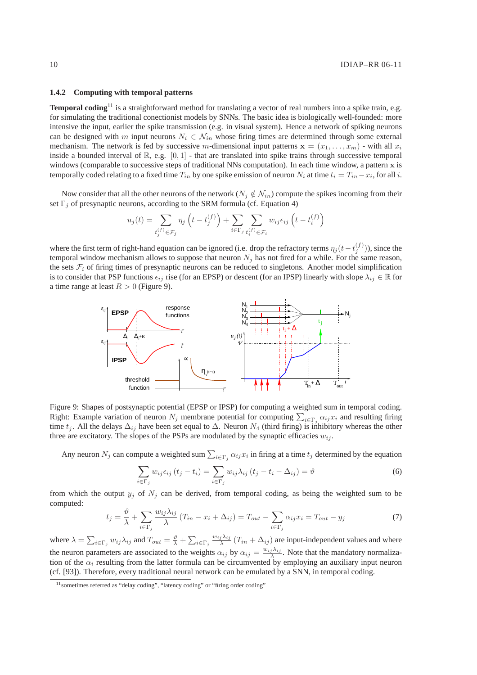### **1.4.2 Computing with temporal patterns**

**Temporal coding**<sup>11</sup> is a straightforward method for translating a vector of real numbers into a spike train, e.g. for simulating the traditional conectionist models by SNNs. The basic idea is biologically well-founded: more intensive the input, earlier the spike transmission (e.g. in visual system). Hence a network of spiking neurons can be designed with m input neurons  $N_i \in \mathcal{N}_{in}$  whose firing times are determined through some external mechanism. The network is fed by successive m-dimensional input patterns  $x = (x_1, \ldots, x_m)$  - with all  $x_i$ inside a bounded interval of  $\mathbb{R}$ , e.g.  $[0, 1]$  - that are translated into spike trains through successive temporal windows (comparable to successive steps of traditional NNs computation). In each time window, a pattern x is temporally coded relating to a fixed time  $T_{in}$  by one spike emission of neuron  $N_i$  at time  $t_i = T_{in} - x_i$ , for all  $i$ .

Now consider that all the other neurons of the network ( $N_j \notin \mathcal{N}_{in}$ ) compute the spikes incoming from their set  $\Gamma_j$  of presynaptic neurons, according to the SRM formula (cf. Equation 4)

$$
u_j(t) = \sum_{t_j^{(f)} \in \mathcal{F}_j} \eta_j\left(t - t_j^{(f)}\right) + \sum_{i \in \Gamma_j} \sum_{t_i^{(f)} \in \mathcal{F}_i} w_{ij} \epsilon_{ij}\left(t - t_i^{(f)}\right)
$$

where the first term of right-hand equation can be ignored (i.e. drop the refractory terms  $\eta_j(t-t_j^{(f)})$ ), since the temporal window mechanism allows to suppose that neuron  $N_j$  has not fired for a while. For the same reason, the sets  $\mathcal{F}_i$  of firing times of presynaptic neurons can be reduced to singletons. Another model simplification is to consider that PSP functions  $\epsilon_{ij}$  rise (for an EPSP) or descent (for an IPSP) linearly with slope  $\lambda_{ij} \in \mathbb{R}$  for a time range at least  $R > 0$  (Figure 9).



Figure 9: Shapes of postsynaptic potential (EPSP or IPSP) for computing a weighted sum in temporal coding. Right: Example variation of neuron  $N_j$  membrane potential for computing  $\sum_{i \in \Gamma_j} \alpha_{ij} x_i$  and resulting firing time  $t_j$ . All the delays  $\Delta_{ij}$  have been set equal to  $\Delta$ . Neuron  $N_4$  (third firing) is inhibitory whereas the other three are excitatory. The slopes of the PSPs are modulated by the synaptic efficacies  $w_{ij}$ .

Any neuron  $N_j$  can compute a weighted sum  $\sum_{i \in \Gamma_j} \alpha_{ij} x_i$  in firing at a time  $t_j$  determined by the equation

$$
\sum_{i \in \Gamma_j} w_{ij} \epsilon_{ij} (t_j - t_i) = \sum_{i \in \Gamma_j} w_{ij} \lambda_{ij} (t_j - t_i - \Delta_{ij}) = \vartheta
$$
\n(6)

from which the output  $y_j$  of  $N_j$  can be derived, from temporal coding, as being the weighted sum to be computed:

$$
t_j = \frac{\vartheta}{\lambda} + \sum_{i \in \Gamma_j} \frac{w_{ij} \lambda_{ij}}{\lambda} (T_{in} - x_i + \Delta_{ij}) = T_{out} - \sum_{i \in \Gamma_j} \alpha_{ij} x_i = T_{out} - y_j \tag{7}
$$

where  $\lambda = \sum_{i \in \Gamma_j} w_{ij} \lambda_{ij}$  and  $T_{out} = \frac{\vartheta}{\lambda} + \sum_{i \in \Gamma_j} \frac{w_{ij} \lambda_{ij}}{\lambda}$  $\frac{j \lambda_{ij}}{\lambda}$  ( $T_{in} + \Delta_{ij}$ ) are input-independent values and where the neuron parameters are associated to the weights  $\alpha_{ij}$  by  $\alpha_{ij} = \frac{w_{ij}\lambda_{ij}}{\lambda_{ij}}$  $\frac{\partial^{\lambda_{ij}}}{\partial \lambda}$ . Note that the mandatory normalization of the  $\alpha_i$  resulting from the latter formula can be circumvented by employing an auxiliary input neuron (cf. [93]). Therefore, every traditional neural network can be emulated by a SNN, in temporal coding.

<sup>&</sup>lt;sup>11</sup> sometimes referred as "delay coding", "latency coding" or "firing order coding"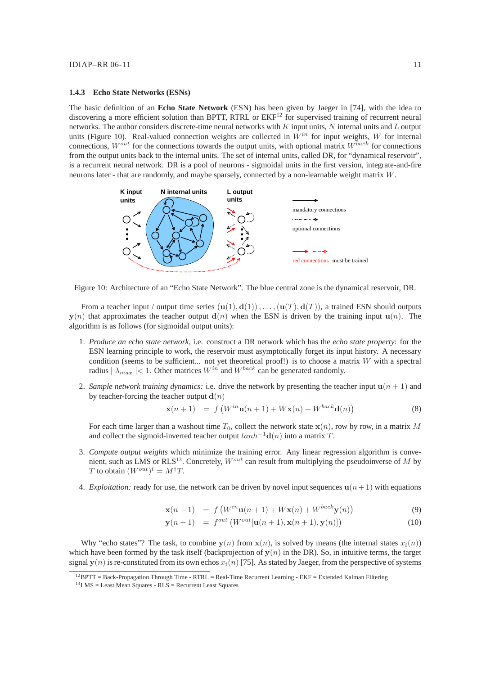#### **1.4.3 Echo State Networks (ESNs)**

The basic definition of an **Echo State Network** (ESN) has been given by Jaeger in [74], with the idea to discovering a more efficient solution than BPTT, RTRL or  $EKF^{12}$  for supervised training of recurrent neural networks. The author considers discrete-time neural networks with  $K$  input units,  $N$  internal units and  $L$  output units (Figure 10). Real-valued connection weights are collected in  $W^{in}$  for input weights, W for internal connections,  $W^{out}$  for the connections towards the output units, with optional matrix  $W^{back}$  for connections from the output units back to the internal units. The set of internal units, called DR, for "dynamical reservoir", is a recurrent neural network. DR is a pool of neurons - sigmoidal units in the first version, integrate-and-fire neurons later - that are randomly, and maybe sparsely, connected by a non-learnable weight matrix W.



Figure 10: Architecture of an "Echo State Network". The blue central zone is the dynamical reservoir, DR.

From a teacher input / output time series  $(\mathbf{u}(1), \mathbf{d}(1)), \ldots, (\mathbf{u}(T), \mathbf{d}(T))$ , a trained ESN should outputs  $y(n)$  that approximates the teacher output  $d(n)$  when the ESN is driven by the training input  $u(n)$ . The algorithm is as follows (for sigmoidal output units):

- 1. *Produce an echo state network,* i.e. construct a DR network which has the *echo state property*: for the ESN learning principle to work, the reservoir must asymptotically forget its input history. A necessary condition (seems to be sufficient... not yet theoretical proof!) is to choose a matrix  $W$  with a spectral radius  $|\lambda_{max}| < 1$ . Other matrices  $W^{in}$  and  $W^{back}$  can be generated randomly.
- 2. *Sample network training dynamics:* i.e. drive the network by presenting the teacher input  $u(n + 1)$  and by teacher-forcing the teacher output  $\mathbf{d}(n)$

$$
\mathbf{x}(n+1) = f\left(W^{in}\mathbf{u}(n+1) + W\mathbf{x}(n) + W^{back}\mathbf{d}(n)\right) \tag{8}
$$

For each time larger than a washout time  $T_0$ , collect the network state  $\mathbf{x}(n)$ , row by row, in a matrix M and collect the sigmoid-inverted teacher output  $tanh^{-1}$ **d** $(n)$  into a matrix T.

- 3. *Compute output weights* which minimize the training error. Any linear regression algorithm is convenient, such as LMS or RLS<sup>13</sup>. Concretely,  $W^{out}$  can result from multiplying the pseudoinverse of M by T to obtain  $(W^{out})^t = M^{\dagger}T$ .
- 4. *Exploitation:* ready for use, the network can be driven by novel input sequences  $u(n+1)$  with equations

$$
\mathbf{x}(n+1) = f\left(W^{in}\mathbf{u}(n+1) + W\mathbf{x}(n) + W^{back}\mathbf{y}(n)\right) \tag{9}
$$

$$
\mathbf{y}(n+1) = f^{out} \left( W^{out}[\mathbf{u}(n+1), \mathbf{x}(n+1), \mathbf{y}(n)] \right) \tag{10}
$$

Why "echo states"? The task, to combine  $y(n)$  from  $x(n)$ , is solved by means (the internal states  $x_i(n)$ ) which have been formed by the task itself (backprojection of  $y(n)$  in the DR). So, in intuitive terms, the target signal  $y(n)$  is re-constituted from its own echos  $x_i(n)$  [75]. As stated by Jaeger, from the perspective of systems

<sup>12</sup>BPTT = Back-Propagation Through Time - RTRL = Real-Time Recurrent Learning - EKF = Extended Kalman Filtering

 $13$ LMS = Least Mean Squares - RLS = Recurrent Least Squares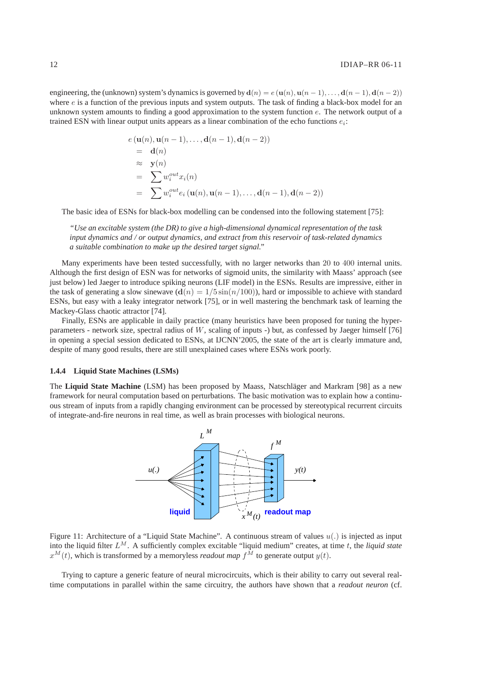engineering, the (unknown) system's dynamics is governed by  $d(n) = e(u(n), u(n-1), \ldots, d(n-1), d(n-2))$ where  $e$  is a function of the previous inputs and system outputs. The task of finding a black-box model for an unknown system amounts to finding a good approximation to the system function  $e$ . The network output of a trained ESN with linear output units appears as a linear combination of the echo functions  $e_i$ :

$$
e(\mathbf{u}(n), \mathbf{u}(n-1), \dots, \mathbf{d}(n-1), \mathbf{d}(n-2))
$$
  
=  $\mathbf{d}(n)$   

$$
\approx \mathbf{y}(n)
$$
  
=  $\sum w_i^{out} x_i(n)$   
=  $\sum w_i^{out} e_i (\mathbf{u}(n), \mathbf{u}(n-1), \dots, \mathbf{d}(n-1), \mathbf{d}(n-2))$ 

The basic idea of ESNs for black-box modelling can be condensed into the following statement [75]:

*"Use an excitable system (the DR) to give a high-dimensional dynamical representation of the task input dynamics and / or output dynamics, and extract from this reservoir of task-related dynamics a suitable combination to make up the desired target signal."*

Many experiments have been tested successfully, with no larger networks than 20 to 400 internal units. Although the first design of ESN was for networks of sigmoid units, the similarity with Maass' approach (see just below) led Jaeger to introduce spiking neurons (LIF model) in the ESNs. Results are impressive, either in the task of generating a slow sinewave  $(d(n) = 1/5 \sin(n/100))$ , hard or impossible to achieve with standard ESNs, but easy with a leaky integrator network [75], or in well mastering the benchmark task of learning the Mackey-Glass chaotic attractor [74].

Finally, ESNs are applicable in daily practice (many heuristics have been proposed for tuning the hyperparameters - network size, spectral radius of  $W$ , scaling of inputs -) but, as confessed by Jaeger himself [76] in opening a special session dedicated to ESNs, at IJCNN'2005, the state of the art is clearly immature and, despite of many good results, there are still unexplained cases where ESNs work poorly.

#### **1.4.4 Liquid State Machines (LSMs)**

The **Liquid State Machine** (LSM) has been proposed by Maass, Natschläger and Markram [98] as a new framework for neural computation based on perturbations. The basic motivation was to explain how a continuous stream of inputs from a rapidly changing environment can be processed by stereotypical recurrent circuits of integrate-and-fire neurons in real time, as well as brain processes with biological neurons.



Figure 11: Architecture of a "Liquid State Machine". A continuous stream of values  $u(.)$  is injected as input into the liquid filter  $L^M$ . A sufficiently complex excitable "liquid medium" creates, at time  $t$ , the *liquid state*  $x^M(t)$ , which is transformed by a memoryless *readout map*  $f^{\hat{M}}$  to generate output  $y(t)$ .

Trying to capture a generic feature of neural microcircuits, which is their ability to carry out several realtime computations in parallel within the same circuitry, the authors have shown that a *readout neuron* (cf.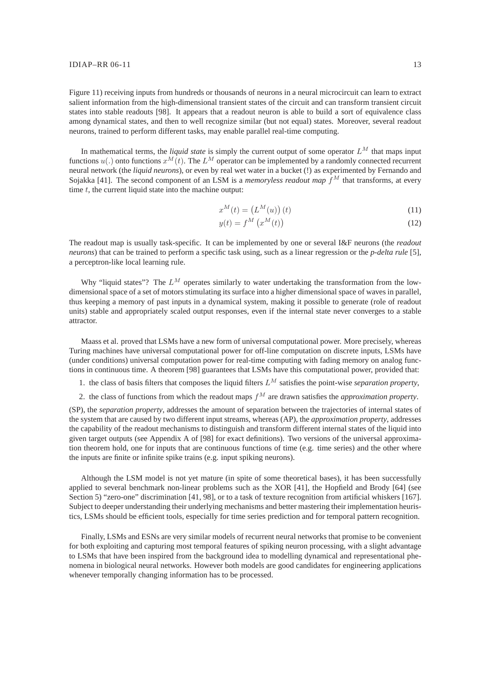Figure 11) receiving inputs from hundreds or thousands of neurons in a neural microcircuit can learn to extract salient information from the high-dimensional transient states of the circuit and can transform transient circuit states into stable readouts [98]. It appears that a readout neuron is able to build a sort of equivalence class among dynamical states, and then to well recognize similar (but not equal) states. Moreover, several readout neurons, trained to perform different tasks, may enable parallel real-time computing.

In mathematical terms, the *liquid state* is simply the current output of some operator  $L^M$  that maps input functions  $u(.)$  onto functions  $x^M(t)$ . The  $L^M$  operator can be implemented by a randomly connected recurrent neural network (the *liquid neurons*), or even by real wet water in a bucket (!) as experimented by Fernando and Sojakka [41]. The second component of an LSM is a *memoryless readout map*  $\bar{f}^M$  that transforms, at every time  $t$ , the current liquid state into the machine output:

$$
x^M(t) = \left(L^M(u)\right)(t) \tag{11}
$$

$$
y(t) = f^M\left(x^M(t)\right) \tag{12}
$$

The readout map is usually task-specific. It can be implemented by one or several I&F neurons (the *readout neurons*) that can be trained to perform a specific task using, such as a linear regression or the *p-delta rule* [5], a perceptron-like local learning rule.

Why "liquid states"? The  $L^M$  operates similarly to water undertaking the transformation from the lowdimensional space of a set of motors stimulating its surface into a higher dimensional space of waves in parallel, thus keeping a memory of past inputs in a dynamical system, making it possible to generate (role of readout units) stable and appropriately scaled output responses, even if the internal state never converges to a stable attractor.

Maass et al. proved that LSMs have a new form of universal computational power. More precisely, whereas Turing machines have universal computational power for off-line computation on discrete inputs, LSMs have (under conditions) universal computation power for real-time computing with fading memory on analog functions in continuous time. A theorem [98] guarantees that LSMs have this computational power, provided that:

- 1. the class of basis filters that composes the liquid filters  $L^M$  satisfies the point-wise *separation property*,
- 2. the class of functions from which the readout maps  $f^M$  are drawn satisfies the *approximation property*.

(SP), the *separation property*, addresses the amount of separation between the trajectories of internal states of the system that are caused by two different input streams, whereas (AP), the *approximation property*, addresses the capability of the readout mechanisms to distinguish and transform different internal states of the liquid into given target outputs (see Appendix A of [98] for exact definitions). Two versions of the universal approximation theorem hold, one for inputs that are continuous functions of time (e.g. time series) and the other where the inputs are finite or infinite spike trains (e.g. input spiking neurons).

Although the LSM model is not yet mature (in spite of some theoretical bases), it has been successfully applied to several benchmark non-linear problems such as the XOR [41], the Hopfield and Brody [64] (see Section 5) "zero-one" discrimination [41, 98], or to a task of texture recognition from artificial whiskers [167]. Subject to deeper understanding their underlying mechanisms and better mastering their implementation heuristics, LSMs should be efficient tools, especially for time series prediction and for temporal pattern recognition.

Finally, LSMs and ESNs are very similar models of recurrent neural networks that promise to be convenient for both exploiting and capturing most temporal features of spiking neuron processing, with a slight advantage to LSMs that have been inspired from the background idea to modelling dynamical and representational phenomena in biological neural networks. However both models are good candidates for engineering applications whenever temporally changing information has to be processed.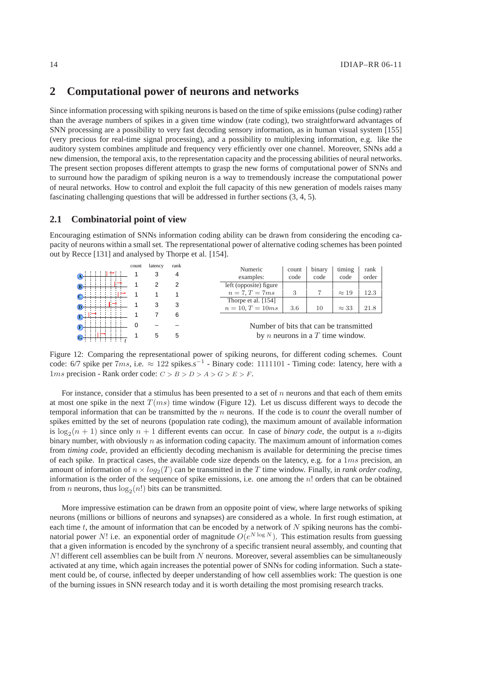# **2 Computational power of neurons and networks**

Since information processing with spiking neurons is based on the time of spike emissions (pulse coding) rather than the average numbers of spikes in a given time window (rate coding), two straightforward advantages of SNN processing are a possibility to very fast decoding sensory information, as in human visual system [155] (very precious for real-time signal processing), and a possibility to multiplexing information, e.g. like the auditory system combines amplitude and frequency very efficiently over one channel. Moreover, SNNs add a new dimension, the temporal axis, to the representation capacity and the processing abilities of neural networks. The present section proposes different attempts to grasp the new forms of computational power of SNNs and to surround how the paradigm of spiking neuron is a way to tremendously increase the computational power of neural networks. How to control and exploit the full capacity of this new generation of models raises many fascinating challenging questions that will be addressed in further sections (3, 4, 5).

### **2.1 Combinatorial point of view**

Encouraging estimation of SNNs information coding ability can be drawn from considering the encoding capacity of neurons within a small set. The representational power of alternative coding schemes has been pointed out by Recce [131] and analysed by Thorpe et al. [154].

|    | count | latency | rank | Numeric                | count                                  | binary | timing                                    | rank  |  |
|----|-------|---------|------|------------------------|----------------------------------------|--------|-------------------------------------------|-------|--|
|    |       | З       |      |                        |                                        |        |                                           |       |  |
| (A |       |         |      | examples:              | code                                   | code   | code                                      | order |  |
|    |       |         | 2    | left (opposite) figure |                                        |        |                                           |       |  |
|    |       |         |      | $n = 7, T = 7ms$       | 3                                      |        | $\approx 19$                              | 12.3  |  |
|    |       |         |      | Thorpe et al. [154]    |                                        |        |                                           |       |  |
|    |       | 3       | 3    | $n = 10, T = 10ms$     | 3.6                                    | 10     | $\approx 33$                              | 21.8  |  |
|    |       |         | 6    |                        |                                        |        |                                           |       |  |
|    |       |         |      |                        | Number of bits that can be transmitted |        |                                           |       |  |
| ⊙  |       | 5       | 5    |                        |                                        |        | by <i>n</i> neurons in a $T$ time window. |       |  |

Figure 12: Comparing the representational power of spiking neurons, for different coding schemes. Count code: 6/7 spike per  $7ms$ , i.e.  $\approx 122$  spikes.s<sup>-1</sup> - Binary code: 1111101 - Timing code: latency, here with a  $1ms$  precision - Rank order code:  $C > B > D > A > G > E > F$ .

For instance, consider that a stimulus has been presented to a set of n neurons and that each of them emits at most one spike in the next  $T(ms)$  time window (Figure 12). Let us discuss different ways to decode the temporal information that can be transmitted by the n neurons. If the code is to *count* the overall number of spikes emitted by the set of neurons (population rate coding), the maximum amount of available information is  $\log_2(n+1)$  since only  $n+1$  different events can occur. In case of *binary code*, the output is a *n*-digits binary number, with obviously  $n$  as information coding capacity. The maximum amount of information comes from *timing code*, provided an efficiently decoding mechanism is available for determining the precise times of each spike. In practical cases, the available code size depends on the latency, e.g. for a  $1ms$  precision, an amount of information of  $n \times log_2(T)$  can be transmitted in the T time window. Finally, in *rank order coding*, information is the order of the sequence of spike emissions, i.e. one among the  $n!$  orders that can be obtained from *n* neurons, thus  $log_2(n!)$  bits can be transmitted.

More impressive estimation can be drawn from an opposite point of view, where large networks of spiking neurons (millions or billions of neurons and synapses) are considered as a whole. In first rough estimation, at each time  $t$ , the amount of information that can be encoded by a network of  $N$  spiking neurons has the combinatorial power N! i.e. an exponential order of magnitude  $O(e^{N \log N})$ . This estimation results from guessing that a given information is encoded by the synchrony of a specific transient neural assembly, and counting that  $N!$  different cell assemblies can be built from  $N$  neurons. Moreover, several assemblies can be simultaneously activated at any time, which again increases the potential power of SNNs for coding information. Such a statement could be, of course, inflected by deeper understanding of how cell assemblies work: The question is one of the burning issues in SNN research today and it is worth detailing the most promising research tracks.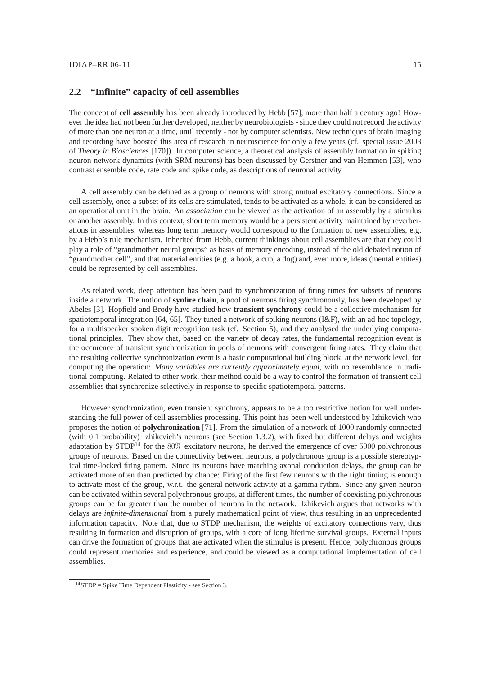# **2.2 "Infinite" capacity of cell assemblies**

The concept of **cell assembly** has been already introduced by Hebb [57], more than half a century ago! However the idea had not been further developed, neither by neurobiologists - since they could not record the activity of more than one neuron at a time, until recently - nor by computer scientists. New techniques of brain imaging and recording have boosted this area of research in neuroscience for only a few years (cf. special issue 2003 of *Theory in Biosciences* [170]). In computer science, a theoretical analysis of assembly formation in spiking neuron network dynamics (with SRM neurons) has been discussed by Gerstner and van Hemmen [53], who contrast ensemble code, rate code and spike code, as descriptions of neuronal activity.

A cell assembly can be defined as a group of neurons with strong mutual excitatory connections. Since a cell assembly, once a subset of its cells are stimulated, tends to be activated as a whole, it can be considered as an operational unit in the brain. An *association* can be viewed as the activation of an assembly by a stimulus or another assembly. In this context, short term memory would be a persistent activity maintained by reverberations in assemblies, whereas long term memory would correspond to the formation of new assemblies, e.g. by a Hebb's rule mechanism. Inherited from Hebb, current thinkings about cell assemblies are that they could play a role of "grandmother neural groups" as basis of memory encoding, instead of the old debated notion of "grandmother cell", and that material entities (e.g. a book, a cup, a dog) and, even more, ideas (mental entities) could be represented by cell assemblies.

As related work, deep attention has been paid to synchronization of firing times for subsets of neurons inside a network. The notion of **synfire chain**, a pool of neurons firing synchronously, has been developed by Abeles [3]. Hopfield and Brody have studied how **transient synchrony** could be a collective mechanism for spatiotemporal integration [64, 65]. They tuned a network of spiking neurons (I&F), with an ad-hoc topology, for a multispeaker spoken digit recognition task (cf. Section 5), and they analysed the underlying computational principles. They show that, based on the variety of decay rates, the fundamental recognition event is the occurence of transient synchronization in pools of neurons with convergent firing rates. They claim that the resulting collective synchronization event is a basic computational building block, at the network level, for computing the operation: *Many variables are currently approximately equal*, with no resemblance in traditional computing. Related to other work, their method could be a way to control the formation of transient cell assemblies that synchronize selectively in response to specific spatiotemporal patterns.

However synchronization, even transient synchrony, appears to be a too restrictive notion for well understanding the full power of cell assemblies processing. This point has been well understood by Izhikevich who proposes the notion of **polychronization** [71]. From the simulation of a network of 1000 randomly connected (with 0.1 probability) Izhikevich's neurons (see Section 1.3.2), with fixed but different delays and weights adaptation by STDP<sup>14</sup> for the  $80\%$  excitatory neurons, he derived the emergence of over  $5000$  polychronous groups of neurons. Based on the connectivity between neurons, a polychronous group is a possible stereotypical time-locked firing pattern. Since its neurons have matching axonal conduction delays, the group can be activated more often than predicted by chance: Firing of the first few neurons with the right timing is enough to activate most of the group, w.r.t. the general network activity at a gamma rythm. Since any given neuron can be activated within several polychronous groups, at different times, the number of coexisting polychronous groups can be far greater than the number of neurons in the network. Izhikevich argues that networks with delays are *infinite-dimensional* from a purely mathematical point of view, thus resulting in an unprecedented information capacity. Note that, due to STDP mechanism, the weights of excitatory connections vary, thus resulting in formation and disruption of groups, with a core of long lifetime survival groups. External inputs can drive the formation of groups that are activated when the stimulus is present. Hence, polychronous groups could represent memories and experience, and could be viewed as a computational implementation of cell assemblies.

 $14$ STDP = Spike Time Dependent Plasticity - see Section 3.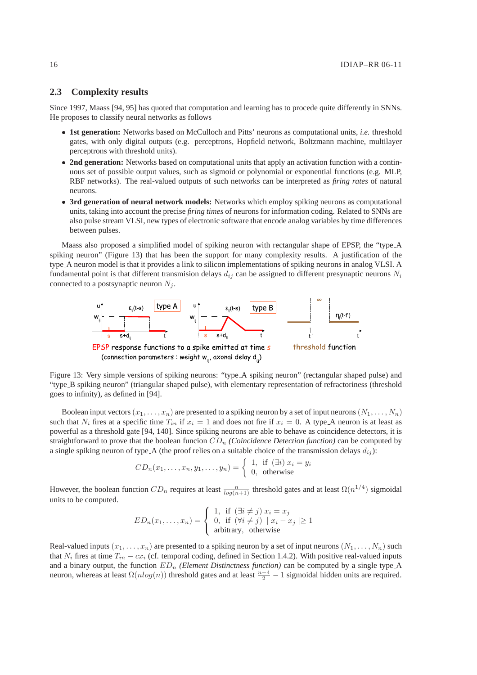# **2.3 Complexity results**

Since 1997, Maass [94, 95] has quoted that computation and learning has to procede quite differently in SNNs. He proposes to classify neural networks as follows

- **1st generation:** Networks based on McCulloch and Pitts' neurons as computational units, *i.e.* threshold gates, with only digital outputs (e.g. perceptrons, Hopfield network, Boltzmann machine, multilayer perceptrons with threshold units).
- 2nd generation: Networks based on computational units that apply an activation function with a continuous set of possible output values, such as sigmoid or polynomial or exponential functions (e.g. MLP, RBF networks). The real-valued outputs of such networks can be interpreted as *firing rates* of natural neurons.
- **3rd generation of neural network models:** Networks which employ spiking neurons as computational units, taking into account the precise *firing times* of neurons for information coding. Related to SNNs are also pulse stream VLSI, new types of electronic software that encode analog variables by time differences between pulses.

Maass also proposed a simplified model of spiking neuron with rectangular shape of EPSP, the "type A spiking neuron" (Figure 13) that has been the support for many complexity results. A justification of the type A neuron model is that it provides a link to silicon implementations of spiking neurons in analog VLSI. A fundamental point is that different transmision delays  $d_{ij}$  can be assigned to different presynaptic neurons  $N_i$ connected to a postsynaptic neuron  $N_i$ .



Figure 13: Very simple versions of spiking neurons: "type A spiking neuron" (rectangular shaped pulse) and "type B spiking neuron" (triangular shaped pulse), with elementary representation of refractoriness (threshold goes to infinity), as defined in [94].

Boolean input vectors  $(x_1, \ldots, x_n)$  are presented to a spiking neuron by a set of input neurons  $(N_1, \ldots, N_n)$ such that  $N_i$  fires at a specific time  $T_{in}$  if  $x_i = 1$  and does not fire if  $x_i = 0$ . A type A neuron is at least as powerful as a threshold gate [94, 140]. Since spiking neurons are able to behave as coincidence detectors, it is straightforward to prove that the boolean funcion  $CD_n$  *(Coincidence Detection function)* can be computed by a single spiking neuron of type  $A$  (the proof relies on a suitable choice of the transmission delays  $d_{ij}$ ):

$$
CD_n(x_1,\ldots,x_n,y_1,\ldots,y_n) = \begin{cases} 1, & \text{if } (\exists i) \ x_i = y_i \\ 0, & \text{otherwise} \end{cases}
$$

However, the boolean function  $CD_n$  requires at least  $\frac{n}{log(n+1)}$  threshold gates and at least  $\Omega(n^{1/4})$  sigmoidal units to be computed.

$$
ED_n(x_1, \dots, x_n) = \begin{cases} 1, & \text{if } (\exists i \neq j) \ x_i = x_j \\ 0, & \text{if } (\forall i \neq j) \ | \ x_i - x_j \ | \geq 1 \\ \text{arbitrary, otherwise} \end{cases}
$$

Real-valued inputs  $(x_1, \ldots, x_n)$  are presented to a spiking neuron by a set of input neurons  $(N_1, \ldots, N_n)$  such that  $N_i$  fires at time  $T_{in} - cx_i$  (cf. temporal coding, defined in Section 1.4.2). With positive real-valued inputs and a binary output, the function  $ED_n$  *(Element Distinctness function)* can be computed by a single type<sub>-A</sub> neuron, whereas at least  $\Omega(n \log(n))$  threshold gates and at least  $\frac{n-4}{2} - 1$  sigmoidal hidden units are required.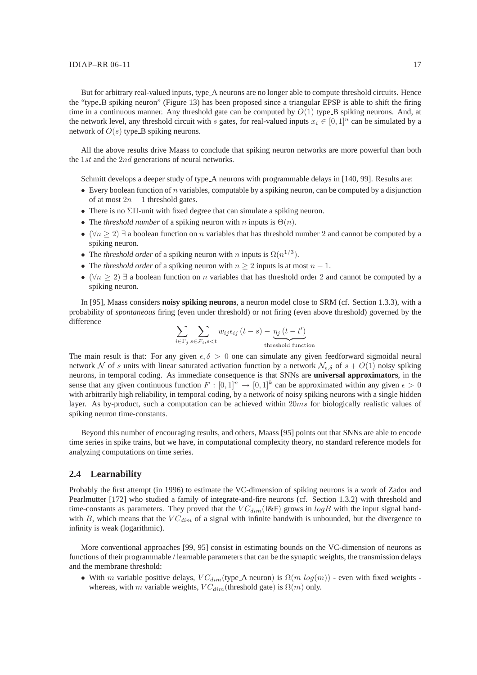#### $IDIAP-RR 06-11$  17

But for arbitrary real-valued inputs, type A neurons are no longer able to compute threshold circuits. Hence the "type B spiking neuron" (Figure 13) has been proposed since a triangular EPSP is able to shift the firing time in a continuous manner. Any threshold gate can be computed by  $O(1)$  type. B spiking neurons. And, at the network level, any threshold circuit with s gates, for real-valued inputs  $x_i \in [0, 1]^n$  can be simulated by a network of  $O(s)$  type B spiking neurons.

All the above results drive Maass to conclude that spiking neuron networks are more powerful than both the 1st and the 2nd generations of neural networks.

Schmitt develops a deeper study of type<sub>-A</sub> neurons with programmable delays in [140, 99]. Results are:

- Every boolean function of n variables, computable by a spiking neuron, can be computed by a disjunction of at most  $2n - 1$  threshold gates.
- There is no  $\Sigma$ Π-unit with fixed degree that can simulate a spiking neuron.
- The *threshold number* of a spiking neuron with n inputs is  $\Theta(n)$ .
- ( $\forall n \geq 2$ )  $\exists$  a boolean function on *n* variables that has threshold number 2 and cannot be computed by a spiking neuron.
- The *threshold order* of a spiking neuron with *n* inputs is  $\Omega(n^{1/3})$ .
- The *threshold order* of a spiking neuron with  $n \geq 2$  inputs is at most  $n 1$ .
- $(\forall n \ge 2)$   $\exists$  a boolean function on n variables that has threshold order 2 and cannot be computed by a spiking neuron.

In [95], Maass considers **noisy spiking neurons**, a neuron model close to SRM (cf. Section 1.3.3), with a probability of *spontaneous* firing (even under threshold) or not firing (even above threshold) governed by the difference

$$
\sum_{i \in \Gamma_j} \sum_{s \in \mathcal{F}_i, s < t} w_{ij} \epsilon_{ij} \left( t - s \right) - \underbrace{\eta_j \left( t - t' \right)}_{\text{threshold function}}
$$

The main result is that: For any given  $\epsilon, \delta > 0$  one can simulate any given feedforward sigmoidal neural network N of s units with linear saturated activation function by a network  $\mathcal{N}_{\epsilon,\delta}$  of  $s + O(1)$  noisy spiking neurons, in temporal coding. As immediate consequence is that SNNs are **universal approximators**, in the sense that any given continuous function  $F: [0,1]^n \to [0,1]^k$  can be approximated within any given  $\epsilon > 0$ with arbitrarily high reliability, in temporal coding, by a network of noisy spiking neurons with a single hidden layer. As by-product, such a computation can be achieved within 20ms for biologically realistic values of spiking neuron time-constants.

Beyond this number of encouraging results, and others, Maass [95] points out that SNNs are able to encode time series in spike trains, but we have, in computational complexity theory, no standard reference models for analyzing computations on time series.

### **2.4 Learnability**

Probably the first attempt (in 1996) to estimate the VC-dimension of spiking neurons is a work of Zador and Pearlmutter [172] who studied a family of integrate-and-fire neurons (cf. Section 1.3.2) with threshold and time-constants as parameters. They proved that the  $VC_{dim}$  (I&F) grows in  $logB$  with the input signal bandwith B, which means that the  $VC_{dim}$  of a signal with infinite bandwith is unbounded, but the divergence to infinity is weak (logarithmic).

More conventional approaches [99, 95] consist in estimating bounds on the VC-dimension of neurons as functions of their programmable / learnable parameters that can be the synaptic weights, the transmission delays and the membrane threshold:

• With m variable positive delays,  $VC_{dim}$ (type A neuron) is  $\Omega(m \log(m))$  - even with fixed weights whereas, with m variable weights,  $VC_{dim}$ (threshold gate) is  $\Omega(m)$  only.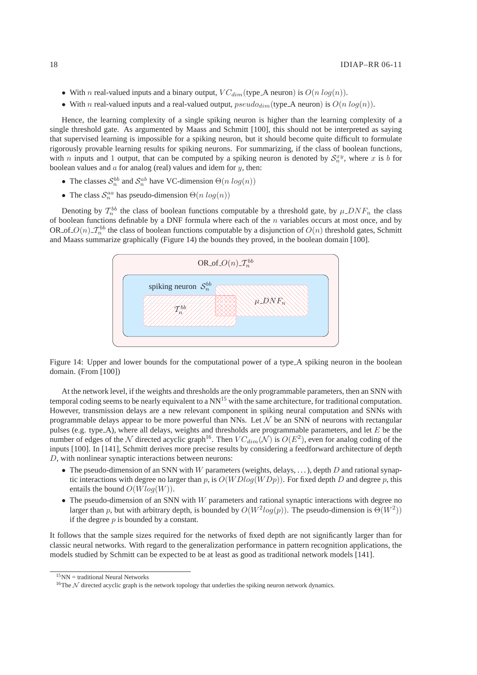- With n real-valued inputs and a binary output,  $VC_{dim}$  (type\_A neuron) is  $O(n \log(n))$ .
- With n real-valued inputs and a real-valued output,  $pseudo_{dim}$  (type A neuron) is  $O(n \log(n))$ .

Hence, the learning complexity of a single spiking neuron is higher than the learning complexity of a single threshold gate. As argumented by Maass and Schmitt [100], this should not be interpreted as saying that supervised learning is impossible for a spiking neuron, but it should become quite difficult to formulate rigorously provable learning results for spiking neurons. For summarizing, if the class of boolean functions, with *n* inputs and 1 output, that can be computed by a spiking neuron is denoted by  $S_n^{xy}$ , where *x* is *b* for boolean values and  $a$  for analog (real) values and idem for  $y$ , then:

- The classes  $S_n^{bb}$  and  $S_n^{ab}$  have VC-dimension  $\Theta(n \log(n))$
- The class  $S_n^{aa}$  has pseudo-dimension  $\Theta(n \log(n))$

Denoting by  $\mathcal{T}_n^{bb}$  the class of boolean functions computable by a threshold gate, by  $\mu$ -DNF<sub>n</sub> the class of boolean functions definable by a DNF formula where each of the  $n$  variables occurs at most once, and by OR of  $O(n)$   $\mathcal{I}_n^{bb}$  the class of boolean functions computable by a disjunction of  $O(n)$  threshold gates, Schmitt and Maass summarize graphically (Figure 14) the bounds they proved, in the boolean domain [100].



Figure 14: Upper and lower bounds for the computational power of a type A spiking neuron in the boolean domain. (From [100])

At the network level, if the weights and thresholds are the only programmable parameters, then an SNN with temporal coding seems to be nearly equivalent to a NN<sup>15</sup> with the same architecture, for traditional computation. However, transmission delays are a new relevant component in spiking neural computation and SNNs with programmable delays appear to be more powerful than NNs. Let  $\mathcal N$  be an SNN of neurons with rectangular pulses (e.g. type  $A$ ), where all delays, weights and thresholds are programmable parameters, and let  $E$  be the number of edges of the  $N$  directed acyclic graph<sup>16</sup>. Then  $VC_{dim}(\mathcal{N})$  is  $O(E^2)$ , even for analog coding of the inputs [100]. In [141], Schmitt derives more precise results by considering a feedforward architecture of depth D, with nonlinear synaptic interactions between neurons:

- The pseudo-dimension of an SNN with W parameters (weights, delays, ...), depth D and rational synaptic interactions with degree no larger than p, is  $O(WDlog(WDp))$ . For fixed depth D and degree p, this entails the bound  $O(Wlog(W))$ .
- The pseudo-dimension of an SNN with W parameters and rational synaptic interactions with degree no larger than p, but with arbitrary depth, is bounded by  $O(W^2 log(p))$ . The pseudo-dimension is  $\Theta(W^2)$ ) if the degree  $p$  is bounded by a constant.

It follows that the sample sizes required for the networks of fixed depth are not significantly larger than for classic neural networks. With regard to the generalization performance in pattern recognition applications, the models studied by Schmitt can be expected to be at least as good as traditional network models [141].

 $15$ <sub>NN</sub> = traditional Neural Networks

<sup>&</sup>lt;sup>16</sup>The  $N$  directed acyclic graph is the network topology that underlies the spiking neuron network dynamics.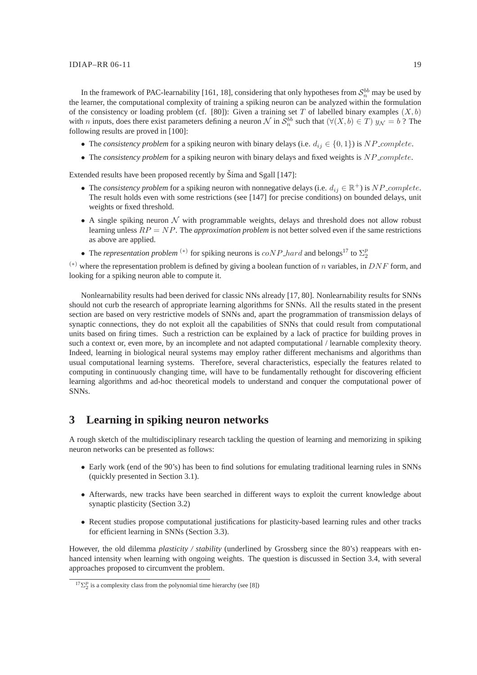#### $IDIAP-RR 06-11$  19

In the framework of PAC-learnability [161, 18], considering that only hypotheses from  $\mathcal{S}_n^{bb}$  may be used by the learner, the computational complexity of training a spiking neuron can be analyzed within the formulation of the consistency or loading problem (cf. [80]): Given a training set T of labelled binary examples  $(X, b)$ with *n* inputs, does there exist parameters defining a neuron N in  $S_n^{bb}$  such that  $(\forall (X, b) \in T)$   $y_N = b$  ? The following results are proved in [100]:

- The *consistency problem* for a spiking neuron with binary delays (i.e.  $d_{ij} \in \{0, 1\}$ ) is NP\_complete.
- The *consistency problem* for a spiking neuron with binary delays and fixed weights is NP\_complete.

Extended results have been proposed recently by Šíma and Sgall [147]:

- The *consistency problem* for a spiking neuron with nonnegative delays (i.e.  $d_{ij} \in \mathbb{R}^+$ ) is NP\_complete. The result holds even with some restrictions (see [147] for precise conditions) on bounded delays, unit weights or fixed threshold.
- A single spiking neuron  $\mathcal N$  with programmable weights, delays and threshold does not allow robust learning unless RP = NP. The *approximation problem* is not better solved even if the same restrictions as above are applied.
- The *representation problem* <sup>(\*)</sup> for spiking neurons is  $coNP$ -hard and belongs<sup>17</sup> to  $\Sigma_2^p$

(\*) where the representation problem is defined by giving a boolean function of n variables, in DNF form, and looking for a spiking neuron able to compute it.

Nonlearnability results had been derived for classic NNs already [17, 80]. Nonlearnability results for SNNs should not curb the research of appropriate learning algorithms for SNNs. All the results stated in the present section are based on very restrictive models of SNNs and, apart the programmation of transmission delays of synaptic connections, they do not exploit all the capabilities of SNNs that could result from computational units based on firing times. Such a restriction can be explained by a lack of practice for building proves in such a context or, even more, by an incomplete and not adapted computational / learnable complexity theory. Indeed, learning in biological neural systems may employ rather different mechanisms and algorithms than usual computational learning systems. Therefore, several characteristics, especially the features related to computing in continuously changing time, will have to be fundamentally rethought for discovering efficient learning algorithms and ad-hoc theoretical models to understand and conquer the computational power of SNNs.

# **3 Learning in spiking neuron networks**

A rough sketch of the multidisciplinary research tackling the question of learning and memorizing in spiking neuron networks can be presented as follows:

- Early work (end of the 90's) has been to find solutions for emulating traditional learning rules in SNNs (quickly presented in Section 3.1).
- Afterwards, new tracks have been searched in different ways to exploit the current knowledge about synaptic plasticity (Section 3.2)
- Recent studies propose computational justifications for plasticity-based learning rules and other tracks for efficient learning in SNNs (Section 3.3).

However, the old dilemma *plasticity / stability* (underlined by Grossberg since the 80's) reappears with enhanced intensity when learning with ongoing weights. The question is discussed in Section 3.4, with several approaches proposed to circumvent the problem.

 $^{17}\Sigma_2^p$  is a complexity class from the polynomial time hierarchy (see [8])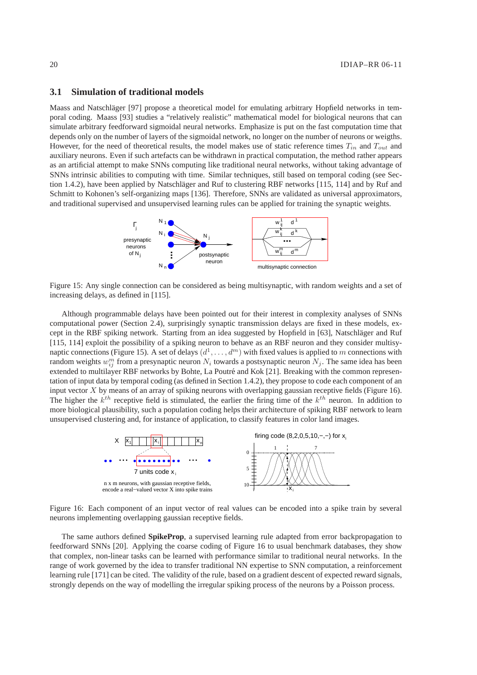# **3.1 Simulation of traditional models**

Maass and Natschläger [97] propose a theoretical model for emulating arbitrary Hopfield networks in temporal coding. Maass [93] studies a "relatively realistic" mathematical model for biological neurons that can simulate arbitrary feedforward sigmoidal neural networks. Emphasize is put on the fast computation time that depends only on the number of layers of the sigmoidal network, no longer on the number of neurons or weigths. However, for the need of theoretical results, the model makes use of static reference times  $T_{in}$  and  $T_{out}$  and auxiliary neurons. Even if such artefacts can be withdrawn in practical computation, the method rather appears as an artificial attempt to make SNNs computing like traditional neural networks, without taking advantage of SNNs intrinsic abilities to computing with time. Similar techniques, still based on temporal coding (see Section 1.4.2), have been applied by Natschläger and Ruf to clustering RBF networks  $[115, 114]$  and by Ruf and Schmitt to Kohonen's self-organizing maps [136]. Therefore, SNNs are validated as universal approximators, and traditional supervised and unsupervised learning rules can be applied for training the synaptic weights.



Figure 15: Any single connection can be considered as being multisynaptic, with random weights and a set of increasing delays, as defined in [115].

Although programmable delays have been pointed out for their interest in complexity analyses of SNNs computational power (Section 2.4), surprisingly synaptic transmission delays are fixed in these models, except in the RBF spiking network. Starting from an idea suggested by Hopfield in [63], Natschläger and Ruf [115, 114] exploit the possibility of a spiking neuron to behave as an RBF neuron and they consider multisynaptic connections (Figure 15). A set of delays  $(d^1, \ldots, d^m)$  with fixed values is applied to m connections with random weights  $w_{ij}^m$  from a presynaptic neuron  $N_i$  towards a postsynaptic neuron  $N_j$ . The same idea has been extended to multilayer RBF networks by Bohte, La Poutré and Kok [21]. Breaking with the common representation of input data by temporal coding (as defined in Section 1.4.2), they propose to code each component of an input vector  $X$  by means of an array of spiking neurons with overlapping gaussian receptive fields (Figure 16). The higher the  $k^{th}$  receptive field is stimulated, the earlier the firing time of the  $k^{th}$  neuron. In addition to more biological plausibility, such a population coding helps their architecture of spiking RBF network to learn unsupervised clustering and, for instance of application, to classify features in color land images.



Figure 16: Each component of an input vector of real values can be encoded into a spike train by several neurons implementing overlapping gaussian receptive fields.

The same authors defined **SpikeProp**, a supervised learning rule adapted from error backpropagation to feedforward SNNs [20]. Applying the coarse coding of Figure 16 to usual benchmark databases, they show that complex, non-linear tasks can be learned with performance similar to traditional neural networks. In the range of work governed by the idea to transfer traditional NN expertise to SNN computation, a reinforcement learning rule [171] can be cited. The validity of the rule, based on a gradient descent of expected reward signals, strongly depends on the way of modelling the irregular spiking process of the neurons by a Poisson process.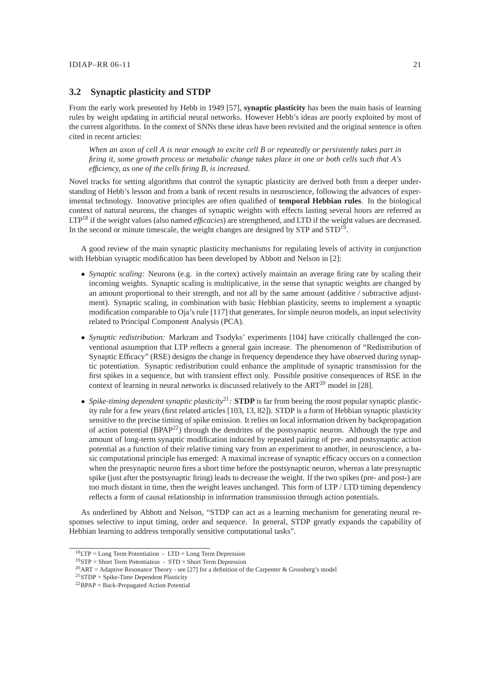# **3.2 Synaptic plasticity and STDP**

From the early work presented by Hebb in 1949 [57], **synaptic plasticity** has been the main basis of learning rules by weight updating in artificial neural networks. However Hebb's ideas are poorly exploited by most of the current algorithms. In the context of SNNs these ideas have been revisited and the original sentence is often cited in recent articles:

*When an axon of cell A is near enough to excite cell B or repeatedly or persistently takes part in firing it, some growth process or metabolic change takes place in one or both cells such that A's efficiency, as one of the cells firing B, is increased.*

Novel tracks for setting algorithms that control the synaptic plasticity are derived both from a deeper understanding of Hebb's lesson and from a bank of recent results in neuroscience, following the advances of experimental technology. Innovative principles are often qualified of **temporal Hebbian rules**. In the biological context of natural neurons, the changes of synaptic weights with effects lasting several hours are referred as LTP<sup>18</sup> if the weight values (also named *efficacies*) are strengthened, and LTD if the weight values are decreased. In the second or minute timescale, the weight changes are designed by STP and STD<sup>19</sup>.

A good review of the main synaptic plasticity mechanisms for regulating levels of activity in conjunction with Hebbian synaptic modification has been developed by Abbott and Nelson in [2]:

- *Synaptic scaling:* Neurons (e.g. in the cortex) actively maintain an average firing rate by scaling their incoming weights. Synaptic scaling is multiplicative, in the sense that synaptic weights are changed by an amount proportional to their strength, and not all by the same amount (additive / subtractive adjustment). Synaptic scaling, in combination with basic Hebbian plasticity, seems to implement a synaptic modification comparable to Oja's rule [117] that generates, for simple neuron models, an input selectivity related to Principal Component Analysis (PCA).
- *Synaptic redistribution:* Markram and Tsodyks' experiments [104] have critically challenged the conventional assumption that LTP reflects a general gain increase. The phenomenon of "Redistribution of Synaptic Efficacy" (RSE) designs the change in frequency dependence they have observed during synaptic potentiation. Synaptic redistribution could enhance the amplitude of synaptic transmission for the first spikes in a sequence, but with transient effect only. Possible positive consequences of RSE in the context of learning in neural networks is discussed relatively to the  $ART^{20}$  model in [28].
- *Spike-timing dependent synaptic plasticity*<sup>21</sup>*:* **STDP** is far from beeing the most popular synaptic plasticity rule for a few years (first related articles [103, 13, 82]). STDP is a form of Hebbian synaptic plasticity sensitive to the precise timing of spike emission. It relies on local information driven by backpropagation of action potential  $(BPAP<sup>22</sup>)$  through the dendrites of the postsynaptic neuron. Although the type and amount of long-term synaptic modification induced by repeated pairing of pre- and postsynaptic action potential as a function of their relative timing vary from an experiment to another, in neuroscience, a basic computational principle has emerged: A maximal increase of synaptic efficacy occurs on a connection when the presynaptic neuron fires a short time before the postsynaptic neuron, whereas a late presynaptic spike (just after the postsynaptic firing) leads to decrease the weight. If the two spikes (pre- and post-) are too much distant in time, then the weight leaves unchanged. This form of LTP / LTD timing dependency reflects a form of causal relationship in information transmission through action potentials.

As underlined by Abbott and Nelson, "STDP can act as a learning mechanism for generating neural responses selective to input timing, order and sequence. In general, STDP greatly expands the capability of Hebbian learning to address temporally sensitive computational tasks".

 $18$  LTP = Long Term Potentiation - LTD = Long Term Depression

<sup>19</sup>STP = Short Term Potentiation - STD = Short Term Depression

<sup>&</sup>lt;sup>20</sup>ART = Adaptive Resonance Theory - see [27] for a definition of the Carpenter & Grossberg's model

 $21$ STDP = Spike-Time Dependent Plasticity

 $^{22}$ BPAP = Back-Propagated Action Potential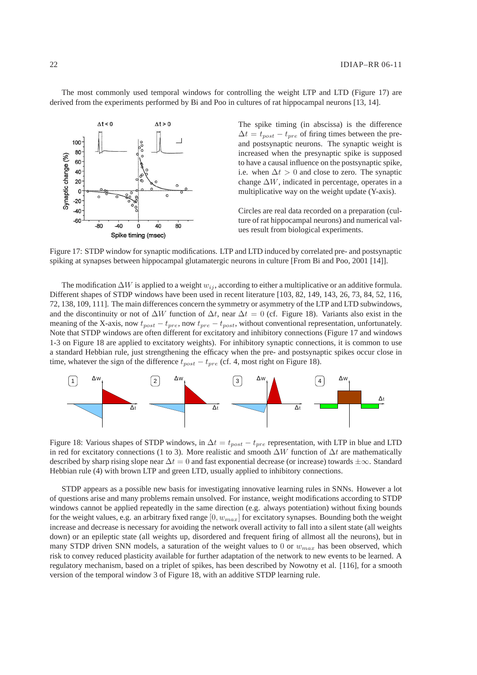The most commonly used temporal windows for controlling the weight LTP and LTD (Figure 17) are derived from the experiments performed by Bi and Poo in cultures of rat hippocampal neurons [13, 14].



The spike timing (in abscissa) is the difference  $\Delta t = t_{post} - t_{pre}$  of firing times between the preand postsynaptic neurons. The synaptic weight is increased when the presynaptic spike is supposed to have a causal influence on the postsynaptic spike, i.e. when  $\Delta t > 0$  and close to zero. The synaptic change  $\Delta W$ , indicated in percentage, operates in a multiplicative way on the weight update (Y-axis).

Circles are real data recorded on a preparation (culture of rat hippocampal neurons) and numerical values result from biological experiments.

Figure 17: STDP window for synaptic modifications. LTP and LTD induced by correlated pre- and postsynaptic spiking at synapses between hippocampal glutamatergic neurons in culture [From Bi and Poo, 2001 [14]].

The modification  $\Delta W$  is applied to a weight  $w_{ij}$ , according to either a multiplicative or an additive formula. Different shapes of STDP windows have been used in recent literature [103, 82, 149, 143, 26, 73, 84, 52, 116, 72, 138, 109, 111]. The main differences concern the symmetry or asymmetry of the LTP and LTD subwindows, and the discontinuity or not of  $\Delta W$  function of  $\Delta t$ , near  $\Delta t = 0$  (cf. Figure 18). Variants also exist in the meaning of the X-axis, now  $t_{post} - t_{pre}$ , now  $t_{pre} - t_{post}$ , without conventional representation, unfortunately. Note that STDP windows are often different for excitatory and inhibitory connections (Figure 17 and windows 1-3 on Figure 18 are applied to excitatory weights). For inhibitory synaptic connections, it is common to use a standard Hebbian rule, just strengthening the efficacy when the pre- and postsynaptic spikes occur close in time, whatever the sign of the difference  $t_{post} - t_{pre}$  (cf. 4, most right on Figure 18).



Figure 18: Various shapes of STDP windows, in  $\Delta t = t_{post} - t_{pre}$  representation, with LTP in blue and LTD in red for excitatory connections (1 to 3). More realistic and smooth  $\Delta W$  function of  $\Delta t$  are mathematically described by sharp rising slope near  $\Delta t = 0$  and fast exponential decrease (or increase) towards  $\pm \infty$ . Standard Hebbian rule (4) with brown LTP and green LTD, usually applied to inhibitory connections.

STDP appears as a possible new basis for investigating innovative learning rules in SNNs. However a lot of questions arise and many problems remain unsolved. For instance, weight modifications according to STDP windows cannot be applied repeatedly in the same direction (e.g. always potentiation) without fixing bounds for the weight values, e.g. an arbitrary fixed range  $[0, w_{max}]$  for excitatory synapses. Bounding both the weight increase and decrease is necessary for avoiding the network overall activity to fall into a silent state (all weights down) or an epileptic state (all weights up, disordered and frequent firing of allmost all the neurons), but in many STDP driven SNN models, a saturation of the weight values to 0 or  $w_{max}$  has been observed, which risk to convey reduced plasticity available for further adaptation of the network to new events to be learned. A regulatory mechanism, based on a triplet of spikes, has been described by Nowotny et al. [116], for a smooth version of the temporal window 3 of Figure 18, with an additive STDP learning rule.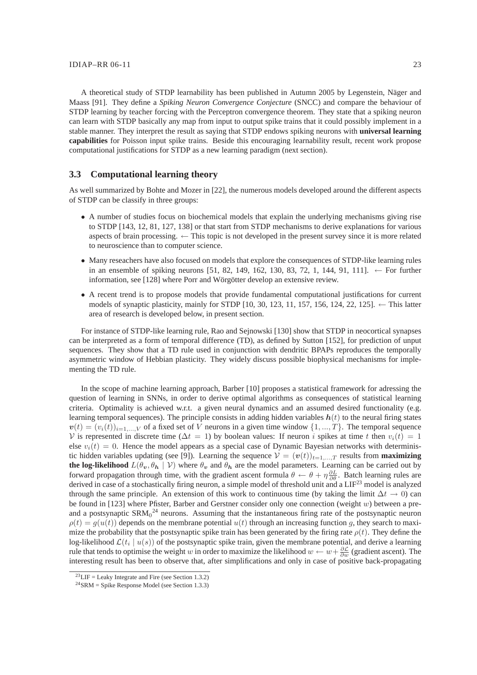A theoretical study of STDP learnability has been published in Autumn 2005 by Legenstein, Näger and Maass [91]. They define a *Spiking Neuron Convergence Conjecture* (SNCC) and compare the behaviour of STDP learning by teacher forcing with the Perceptron convergence theorem. They state that a spiking neuron can learn with STDP basically any map from input to output spike trains that it could possibly implement in a stable manner. They interpret the result as saying that STDP endows spiking neurons with **universal learning capabilities** for Poisson input spike trains. Beside this encouraging learnability result, recent work propose computational justifications for STDP as a new learning paradigm (next section).

# **3.3 Computational learning theory**

As well summarized by Bohte and Mozer in [22], the numerous models developed around the different aspects of STDP can be classify in three groups:

- A number of studies focus on biochemical models that explain the underlying mechanisms giving rise to STDP [143, 12, 81, 127, 138] or that start from STDP mechanisms to derive explanations for various aspects of brain processing. ← This topic is not developed in the present survey since it is more related to neuroscience than to computer science.
- Many reseachers have also focused on models that explore the consequences of STDP-like learning rules in an ensemble of spiking neurons [51, 82, 149, 162, 130, 83, 72, 1, 144, 91, 111]. ← For further information, see [128] where Porr and Wörgötter develop an extensive review.
- A recent trend is to propose models that provide fundamental computational justifications for current models of synaptic plasticity, mainly for STDP [10, 30, 123, 11, 157, 156, 124, 22, 125].  $\leftarrow$  This latter area of research is developed below, in present section.

For instance of STDP-like learning rule, Rao and Sejnowski [130] show that STDP in neocortical synapses can be interpreted as a form of temporal difference (TD), as defined by Sutton [152], for prediction of unput sequences. They show that a TD rule used in conjunction with dendritic BPAPs reproduces the temporally asymmetric window of Hebbian plasticity. They widely discuss possible biophysical mechanisms for implementing the TD rule.

In the scope of machine learning approach, Barber [10] proposes a statistical framework for adressing the question of learning in SNNs, in order to derive optimal algorithms as consequences of statistical learning criteria. Optimality is achieved w.r.t. a given neural dynamics and an assumed desired functionality (e.g. learning temporal sequences). The principle consists in adding hidden variables  $h(t)$  to the neural firing states  $v(t) = (v_i(t))_{i=1,\dots,V}$  of a fixed set of V neurons in a given time window  $\{1,\dots,T\}$ . The temporal sequence V is represented in discrete time ( $\Delta t = 1$ ) by boolean values: If neuron i spikes at time t then  $v_i(t) = 1$ else  $v_i(t) = 0$ . Hence the model appears as a special case of Dynamic Bayesian networks with deterministic hidden variables updating (see [9]). Learning the sequence  $V = (v(t))_{t=1,\dots,T}$  results from **maximizing the log-likelihood**  $L(\theta_v, \theta_h \mid V)$  where  $\theta_v$  and  $\theta_h$  are the model parameters. Learning can be carried out by forward propagation through time, with the gradient ascent formula  $\theta \leftarrow \theta + \eta \frac{\partial L}{\partial \theta}$ . Batch learning rules are derived in case of a stochastically firing neuron, a simple model of threshold unit and a  $LIF^{23}$  model is analyzed through the same principle. An extension of this work to continuous time (by taking the limit  $\Delta t \to 0$ ) can be found in [123] where Pfister, Barber and Gerstner consider only one connection (weight  $w$ ) between a preand a postsynaptic  $\text{SRM}_0^2$  neurons. Assuming that the instantaneous firing rate of the postsynaptic neuron  $\rho(t) = g(u(t))$  depends on the membrane potential  $u(t)$  through an increasing function g, they search to maximize the probability that the postsynaptic spike train has been generated by the firing rate  $\rho(t)$ . They define the log-likelihood  $\mathcal{L}(t_i \mid u(s))$  of the postsynaptic spike train, given the membrane potential, and derive a learning rule that tends to optimise the weight w in order to maximize the likelihood  $w \leftarrow w + \frac{\partial \mathcal{L}}{\partial w}$  (gradient ascent). The interesting result has been to observe that, after simplifications and only in case of positive back-propagating

 $^{23}$ LIF = Leaky Integrate and Fire (see Section 1.3.2)

 $^{24}$ SRM = Spike Response Model (see Section 1.3.3)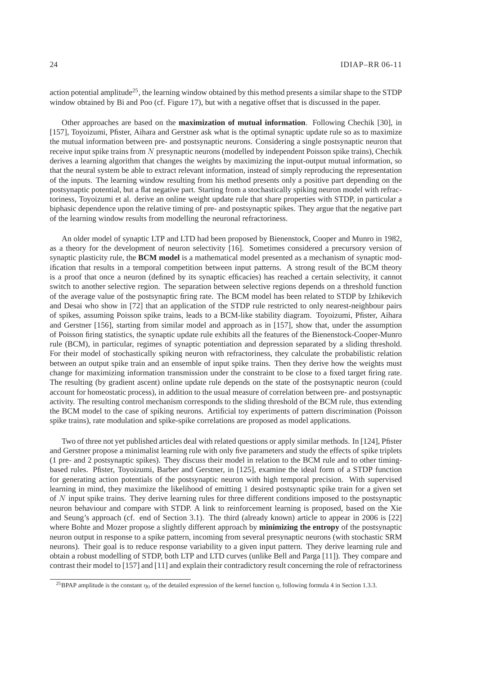action potential amplitude<sup>25</sup>, the learning window obtained by this method presents a similar shape to the STDP window obtained by Bi and Poo (cf. Figure 17), but with a negative offset that is discussed in the paper.

Other approaches are based on the **maximization of mutual information**. Following Chechik [30], in [157], Toyoizumi, Pfister, Aihara and Gerstner ask what is the optimal synaptic update rule so as to maximize the mutual information between pre- and postsynaptic neurons. Considering a single postsynaptic neuron that receive input spike trains from N presynaptic neurons (modelled by independent Poisson spike trains), Chechik derives a learning algorithm that changes the weights by maximizing the input-output mutual information, so that the neural system be able to extract relevant information, instead of simply reproducing the representation of the inputs. The learning window resulting from his method presents only a positive part depending on the postsynaptic potential, but a flat negative part. Starting from a stochastically spiking neuron model with refractoriness, Toyoizumi et al. derive an online weight update rule that share properties with STDP, in particular a biphasic dependence upon the relative timing of pre- and postsynaptic spikes. They argue that the negative part of the learning window results from modelling the neuronal refractoriness.

An older model of synaptic LTP and LTD had been proposed by Bienenstock, Cooper and Munro in 1982, as a theory for the development of neuron selectivity [16]. Sometimes considered a precursory version of synaptic plasticity rule, the **BCM model** is a mathematical model presented as a mechanism of synaptic modification that results in a temporal competition between input patterns. A strong result of the BCM theory is a proof that once a neuron (defined by its synaptic efficacies) has reached a certain selectivity, it cannot switch to another selective region. The separation between selective regions depends on a threshold function of the average value of the postsynaptic firing rate. The BCM model has been related to STDP by Izhikevich and Desai who show in [72] that an application of the STDP rule restricted to only nearest-neighbour pairs of spikes, assuming Poisson spike trains, leads to a BCM-like stability diagram. Toyoizumi, Pfister, Aihara and Gerstner [156], starting from similar model and approach as in [157], show that, under the assumption of Poisson firing statistics, the synaptic update rule exhibits all the features of the Bienenstock-Cooper-Munro rule (BCM), in particular, regimes of synaptic potentiation and depression separated by a sliding threshold. For their model of stochastically spiking neuron with refractoriness, they calculate the probabilistic relation between an output spike train and an ensemble of input spike trains. Then they derive how the weights must change for maximizing information transmission under the constraint to be close to a fixed target firing rate. The resulting (by gradient ascent) online update rule depends on the state of the postsynaptic neuron (could account for homeostatic process), in addition to the usual measure of correlation between pre- and postsynaptic activity. The resulting control mechanism corresponds to the sliding threshold of the BCM rule, thus extending the BCM model to the case of spiking neurons. Artificial toy experiments of pattern discrimination (Poisson spike trains), rate modulation and spike-spike correlations are proposed as model applications.

Two of three not yet published articles deal with related questions or apply similar methods. In [124], Pfister and Gerstner propose a minimalist learning rule with only five parameters and study the effects of spike triplets (1 pre- and 2 postsynaptic spikes). They discuss their model in relation to the BCM rule and to other timingbased rules. Pfister, Toyoizumi, Barber and Gerstner, in [125], examine the ideal form of a STDP function for generating action potentials of the postsynaptic neuron with high temporal precision. With supervised learning in mind, they maximize the likelihood of emitting 1 desired postsynaptic spike train for a given set of N input spike trains. They derive learning rules for three different conditions imposed to the postsynaptic neuron behaviour and compare with STDP. A link to reinforcement learning is proposed, based on the Xie and Seung's approach (cf. end of Section 3.1). The third (already known) article to appear in 2006 is [22] where Bohte and Mozer propose a slightly different approach by **minimizing the entropy** of the postsynaptic neuron output in response to a spike pattern, incoming from several presynaptic neurons (with stochastic SRM neurons). Their goal is to reduce response variability to a given input pattern. They derive learning rule and obtain a robust modelling of STDP, both LTP and LTD curves (unlike Bell and Parga [11]). They compare and contrast their model to [157] and [11] and explain their contradictory result concerning the role of refractoriness

<sup>&</sup>lt;sup>25</sup>BPAP amplitude is the constant  $\eta_0$  of the detailed expression of the kernel function  $\eta$ , following formula 4 in Section 1.3.3.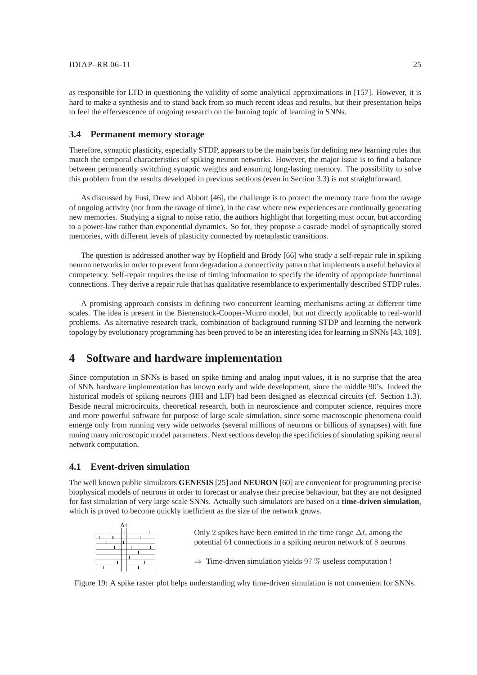as responsible for LTD in questioning the validity of some analytical approximations in [157]. However, it is hard to make a synthesis and to stand back from so much recent ideas and results, but their presentation helps to feel the effervescence of ongoing research on the burning topic of learning in SNNs.

# **3.4 Permanent memory storage**

Therefore, synaptic plasticity, especially STDP, appears to be the main basis for defining new learning rules that match the temporal characteristics of spiking neuron networks. However, the major issue is to find a balance between permanently switching synaptic weights and ensuring long-lasting memory. The possibility to solve this problem from the results developed in previous sections (even in Section 3.3) is not straightforward.

As discussed by Fusi, Drew and Abbott [46], the challenge is to protect the memory trace from the ravage of ongoing activity (not from the ravage of time), in the case where new experiences are continually generating new memories. Studying a signal to noise ratio, the authors highlight that forgetting must occur, but according to a power-law rather than exponential dynamics. So for, they propose a cascade model of synaptically stored memories, with different levels of plasticity connected by metaplastic transitions.

The question is addressed another way by Hopfield and Brody [66] who study a self-repair rule in spiking neuron networks in order to prevent from degradation a connectivity pattern that implements a useful behavioral competency. Self-repair requires the use of timing information to specify the identity of appropriate functional connections. They derive a repair rule that has qualitative resemblance to experimentally described STDP rules.

A promising approach consists in defining two concurrent learning mechanisms acting at different time scales. The idea is present in the Bienenstock-Cooper-Munro model, but not directly applicable to real-world problems. As alternative research track, combination of background running STDP and learning the network topology by evolutionary programming has been proved to be an interesting idea for learning in SNNs [43, 109].

# **4 Software and hardware implementation**

Since computation in SNNs is based on spike timing and analog input values, it is no surprise that the area of SNN hardware implementation has known early and wide development, since the middle 90's. Indeed the historical models of spiking neurons (HH and LIF) had been designed as electrical circuits (cf. Section 1.3). Beside neural microcircuits, theoretical research, both in neuroscience and computer science, requires more and more powerful software for purpose of large scale simulation, since some macroscopic phenomena could emerge only from running very wide networks (several millions of neurons or billions of synapses) with fine tuning many microscopic model parameters. Next sections develop the specificities of simulating spiking neural network computation.

# **4.1 Event-driven simulation**

The well known public simulators **GENESIS** [25] and **NEURON** [60] are convenient for programming precise biophysical models of neurons in order to forecast or analyse their precise behaviour, but they are not designed for fast simulation of very large scale SNNs. Actually such simulators are based on a **time-driven simulation**, which is proved to become quickly inefficient as the size of the network grows.



Figure 19: A spike raster plot helps understanding why time-driven simulation is not convenient for SNNs.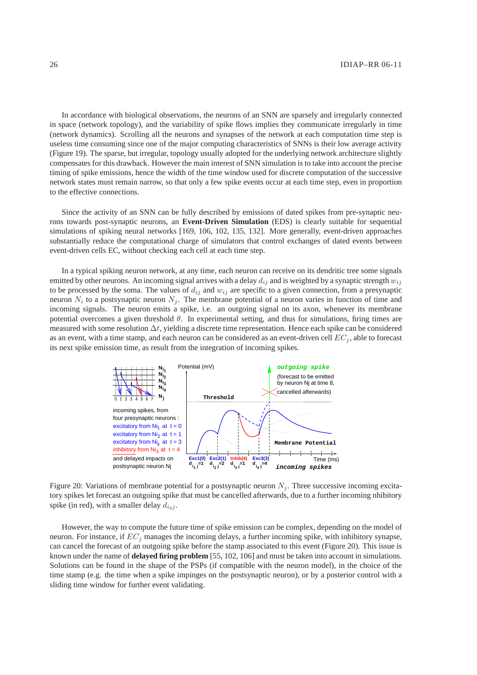In accordance with biological observations, the neurons of an SNN are sparsely and irregularly connected in space (network topology), and the variability of spike flows implies they communicate irregularly in time (network dynamics). Scrolling all the neurons and synapses of the network at each computation time step is useless time consuming since one of the major computing characteristics of SNNs is their low average activity (Figure 19). The sparse, but irregular, topology usually adopted for the underlying network architecture slightly compensates for this drawback. However the main interest of SNN simulation is to take into account the precise timing of spike emissions, hence the width of the time window used for discrete computation of the successive network states must remain narrow, so that only a few spike events occur at each time step, even in proportion to the effective connections.

Since the activity of an SNN can be fully described by emissions of dated spikes from pre-synaptic neurons towards post-synaptic neurons, an **Event-Driven Simulation** (EDS) is clearly suitable for sequential simulations of spiking neural networks [169, 106, 102, 135, 132]. More generally, event-driven approaches substantially reduce the computational charge of simulators that control exchanges of dated events between event-driven cells EC, without checking each cell at each time step.

In a typical spiking neuron network, at any time, each neuron can receive on its dendritic tree some signals emitted by other neurons. An incoming signal arrives with a delay  $d_{ij}$  and is weighted by a synaptic strength  $w_{ij}$ to be processed by the soma. The values of  $d_{ij}$  and  $w_{ij}$  are specific to a given connection, from a presynaptic neuron  $N_i$  to a postsynaptic neuron  $N_j$ . The membrane potential of a neuron varies in function of time and incoming signals. The neuron emits a spike, i.e. an outgoing signal on its axon, whenever its membrane potential overcomes a given threshold  $\theta$ . In experimental setting, and thus for simulations, firing times are measured with some resolution  $\Delta t$ , yielding a discrete time representation. Hence each spike can be considered as an event, with a time stamp, and each neuron can be considered as an event-driven cell  $EC_i$ , able to forecast its next spike emission time, as result from the integration of incoming spikes.



Figure 20: Variations of membrane potential for a postsynaptic neuron  $N_j$ . Three successive incoming excitatory spikes let forecast an outgoing spike that must be cancelled afterwards, due to a further incoming nhibitory spike (in red), with a smaller delay  $d_{i_3j}$ .

However, the way to compute the future time of spike emission can be complex, depending on the model of neuron. For instance, if  $EC_j$  manages the incoming delays, a further incoming spike, with inhibitory synapse, can cancel the forecast of an outgoing spike before the stamp associated to this event (Figure 20). This issue is known under the name of **delayed firing problem** [55, 102, 106] and must be taken into account in simulations. Solutions can be found in the shape of the PSPs (if compatible with the neuron model), in the choice of the time stamp (e.g. the time when a spike impinges on the postsynaptic neuron), or by a posterior control with a sliding time window for further event validating.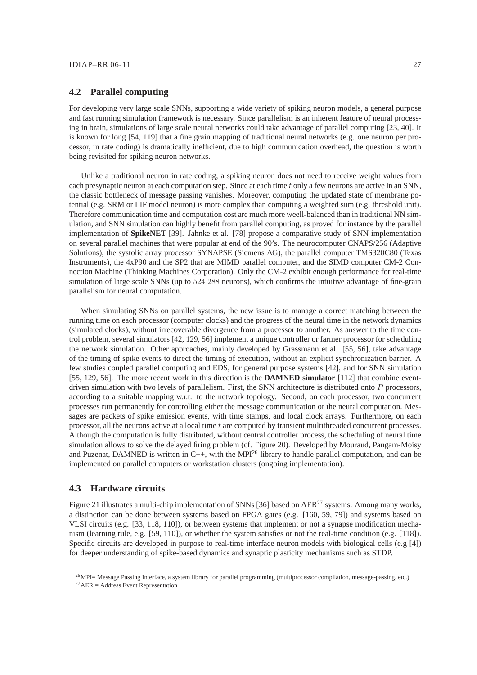# **4.2 Parallel computing**

For developing very large scale SNNs, supporting a wide variety of spiking neuron models, a general purpose and fast running simulation framework is necessary. Since parallelism is an inherent feature of neural processing in brain, simulations of large scale neural networks could take advantage of parallel computing [23, 40]. It is known for long [54, 119] that a fine grain mapping of traditional neural networks (e.g. one neuron per processor, in rate coding) is dramatically inefficient, due to high communication overhead, the question is worth being revisited for spiking neuron networks.

Unlike a traditional neuron in rate coding, a spiking neuron does not need to receive weight values from each presynaptic neuron at each computation step. Since at each time t only a few neurons are active in an SNN, the classic bottleneck of message passing vanishes. Moreover, computing the updated state of membrane potential (e.g. SRM or LIF model neuron) is more complex than computing a weighted sum (e.g. threshold unit). Therefore communication time and computation cost are much more weell-balanced than in traditional NN simulation, and SNN simulation can highly benefit from parallel computing, as proved for instance by the parallel implementation of **SpikeNET** [39]. Jahnke et al. [78] propose a comparative study of SNN implementation on several parallel machines that were popular at end of the 90's. The neurocomputer CNAPS/256 (Adaptive Solutions), the systolic array processor SYNAPSE (Siemens AG), the parallel computer TMS320C80 (Texas Instruments), the 4xP90 and the SP2 that are MIMD parallel computer, and the SIMD computer CM-2 Connection Machine (Thinking Machines Corporation). Only the CM-2 exhibit enough performance for real-time simulation of large scale SNNs (up to 524 288 neurons), which confirms the intuitive advantage of fine-grain parallelism for neural computation.

When simulating SNNs on parallel systems, the new issue is to manage a correct matching between the running time on each processor (computer clocks) and the progress of the neural time in the network dynamics (simulated clocks), without irrecoverable divergence from a processor to another. As answer to the time control problem, several simulators [42, 129, 56] implement a unique controller or farmer processor for scheduling the network simulation. Other approaches, mainly developed by Grassmann et al. [55, 56], take advantage of the timing of spike events to direct the timing of execution, without an explicit synchronization barrier. A few studies coupled parallel computing and EDS, for general purpose systems [42], and for SNN simulation [55, 129, 56]. The more recent work in this direction is the **DAMNED simulator** [112] that combine eventdriven simulation with two levels of parallelism. First, the SNN architecture is distributed onto P processors, according to a suitable mapping w.r.t. to the network topology. Second, on each processor, two concurrent processes run permanently for controlling either the message communication or the neural computation. Messages are packets of spike emission events, with time stamps, and local clock arrays. Furthermore, on each processor, all the neurons active at a local time t are computed by transient multithreaded concurrent processes. Although the computation is fully distributed, without central controller process, the scheduling of neural time simulation allows to solve the delayed firing problem (cf. Figure 20). Developed by Mouraud, Paugam-Moisy and Puzenat, DAMNED is written in  $C_{++}$ , with the MPI<sup>26</sup> library to handle parallel computation, and can be implemented on parallel computers or workstation clusters (ongoing implementation).

# **4.3 Hardware circuits**

Figure 21 illustrates a multi-chip implementation of SNNs [36] based on AER<sup>27</sup> systems. Among many works, a distinction can be done between systems based on FPGA gates (e.g. [160, 59, 79]) and systems based on VLSI circuits (e.g. [33, 118, 110]), or between systems that implement or not a synapse modification mechanism (learning rule, e.g. [59, 110]), or whether the system satisfies or not the real-time condition (e.g. [118]). Specific circuits are developed in purpose to real-time interface neuron models with biological cells (e.g [4]) for deeper understanding of spike-based dynamics and synaptic plasticity mechanisms such as STDP.

<sup>26</sup>MPI= Message Passing Interface, a system library for parallel programming (multiprocessor compilation, message-passing, etc.)  $27$ AER = Address Event Representation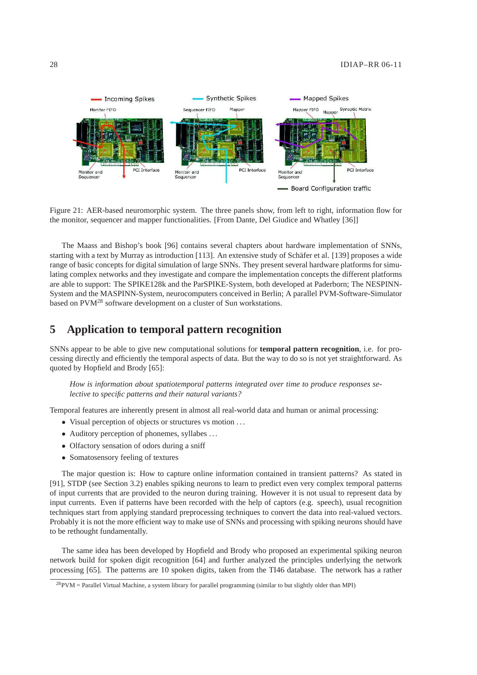

Figure 21: AER-based neuromorphic system. The three panels show, from left to right, information flow for the monitor, sequencer and mapper functionalities. [From Dante, Del Giudice and Whatley [36]]

The Maass and Bishop's book [96] contains several chapters about hardware implementation of SNNs, starting with a text by Murray as introduction [113]. An extensive study of Schäfer et al. [139] proposes a wide range of basic concepts for digital simulation of large SNNs. They present several hardware platforms for simulating complex networks and they investigate and compare the implementation concepts the different platforms are able to support: The SPIKE128k and the ParSPIKE-System, both developed at Paderborn; The NESPINN-System and the MASPINN-System, neurocomputers conceived in Berlin; A parallel PVM-Software-Simulator based on PVM<sup>28</sup> software development on a cluster of Sun workstations.

# **5 Application to temporal pattern recognition**

SNNs appear to be able to give new computational solutions for **temporal pattern recognition**, i.e. for processing directly and efficiently the temporal aspects of data. But the way to do so is not yet straightforward. As quoted by Hopfield and Brody [65]:

*How is information about spatiotemporal patterns integrated over time to produce responses selective to specific patterns and their natural variants?*

Temporal features are inherently present in almost all real-world data and human or animal processing:

- Visual perception of objects or structures vs motion ...
- Auditory perception of phonemes, syllabes . . .
- Olfactory sensation of odors during a sniff
- Somatosensory feeling of textures

The major question is: How to capture online information contained in transient patterns? As stated in [91], STDP (see Section 3.2) enables spiking neurons to learn to predict even very complex temporal patterns of input currents that are provided to the neuron during training. However it is not usual to represent data by input currents. Even if patterns have been recorded with the help of captors (e.g. speech), usual recognition techniques start from applying standard preprocessing techniques to convert the data into real-valued vectors. Probably it is not the more efficient way to make use of SNNs and processing with spiking neurons should have to be rethought fundamentally.

The same idea has been developed by Hopfield and Brody who proposed an experimental spiking neuron network build for spoken digit recognition [64] and further analyzed the principles underlying the network processing [65]. The patterns are 10 spoken digits, taken from the TI46 database. The network has a rather

 $28$ PVM = Parallel Virtual Machine, a system library for parallel programming (similar to but slightly older than MPI)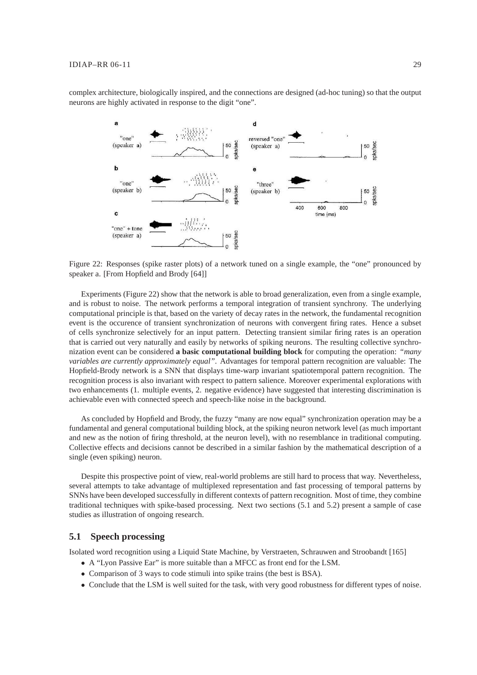complex architecture, biologically inspired, and the connections are designed (ad-hoc tuning) so that the output neurons are highly activated in response to the digit "one".



Figure 22: Responses (spike raster plots) of a network tuned on a single example, the "one" pronounced by speaker a. [From Hopfield and Brody [64]]

Experiments (Figure 22) show that the network is able to broad generalization, even from a single example, and is robust to noise. The network performs a temporal integration of transient synchrony. The underlying computational principle is that, based on the variety of decay rates in the network, the fundamental recognition event is the occurence of transient synchronization of neurons with convergent firing rates. Hence a subset of cells synchronize selectively for an input pattern. Detecting transient similar firing rates is an operation that is carried out very naturally and easily by networks of spiking neurons. The resulting collective synchronization event can be considered **a basic computational building block** for computing the operation: *"many variables are currently approximately equal"*. Advantages for temporal pattern recognition are valuable: The Hopfield-Brody network is a SNN that displays time-warp invariant spatiotemporal pattern recognition. The recognition process is also invariant with respect to pattern salience. Moreover experimental explorations with two enhancements (1. multiple events, 2. negative evidence) have suggested that interesting discrimination is achievable even with connected speech and speech-like noise in the background.

As concluded by Hopfield and Brody, the fuzzy "many are now equal" synchronization operation may be a fundamental and general computational building block, at the spiking neuron network level (as much important and new as the notion of firing threshold, at the neuron level), with no resemblance in traditional computing. Collective effects and decisions cannot be described in a similar fashion by the mathematical description of a single (even spiking) neuron.

Despite this prospective point of view, real-world problems are still hard to process that way. Nevertheless, several attempts to take advantage of multiplexed representation and fast processing of temporal patterns by SNNs have been developed successfully in different contexts of pattern recognition. Most of time, they combine traditional techniques with spike-based processing. Next two sections (5.1 and 5.2) present a sample of case studies as illustration of ongoing research.

# **5.1 Speech processing**

Isolated word recognition using a Liquid State Machine, by Verstraeten, Schrauwen and Stroobandt [165]

- A "Lyon Passive Ear" is more suitable than a MFCC as front end for the LSM.
- Comparison of 3 ways to code stimuli into spike trains (the best is BSA).
- Conclude that the LSM is well suited for the task, with very good robustness for different types of noise.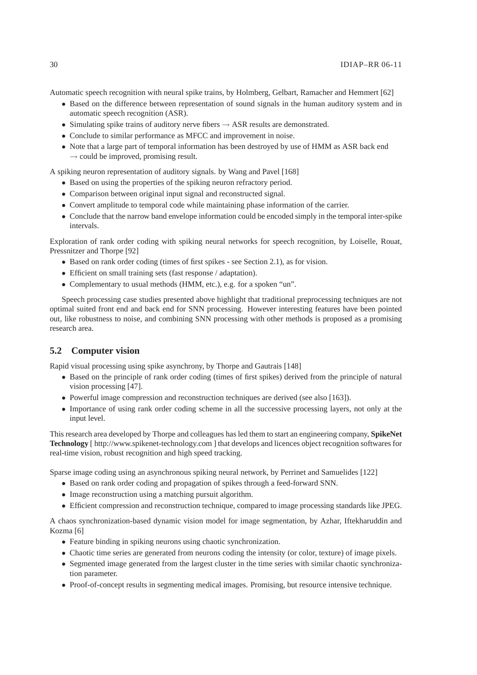Automatic speech recognition with neural spike trains, by Holmberg, Gelbart, Ramacher and Hemmert [62]

- Based on the difference between representation of sound signals in the human auditory system and in automatic speech recognition (ASR).
- Simulating spike trains of auditory nerve fibers  $\rightarrow$  ASR results are demonstrated.
- Conclude to similar performance as MFCC and improvement in noise.
- Note that a large part of temporal information has been destroyed by use of HMM as ASR back end  $\rightarrow$  could be improved, promising result.

A spiking neuron representation of auditory signals. by Wang and Pavel [168]

- Based on using the properties of the spiking neuron refractory period.
- Comparison between original input signal and reconstructed signal.
- Convert amplitude to temporal code while maintaining phase information of the carrier.
- Conclude that the narrow band envelope information could be encoded simply in the temporal inter-spike intervals.

Exploration of rank order coding with spiking neural networks for speech recognition, by Loiselle, Rouat, Pressnitzer and Thorpe [92]

- Based on rank order coding (times of first spikes see Section 2.1), as for vision.
- Efficient on small training sets (fast response / adaptation).
- Complementary to usual methods (HMM, etc.), e.g. for a spoken "un".

Speech processing case studies presented above highlight that traditional preprocessing techniques are not optimal suited front end and back end for SNN processing. However interesting features have been pointed out, like robustness to noise, and combining SNN processing with other methods is proposed as a promising research area.

# **5.2 Computer vision**

Rapid visual processing using spike asynchrony, by Thorpe and Gautrais [148]

- Based on the principle of rank order coding (times of first spikes) derived from the principle of natural vision processing [47].
- Powerful image compression and reconstruction techniques are derived (see also [163]).
- Importance of using rank order coding scheme in all the successive processing layers, not only at the input level.

This research area developed by Thorpe and colleagues has led them to start an engineering company, **SpikeNet Technology** [ http://www.spikenet-technology.com ] that develops and licences object recognition softwares for real-time vision, robust recognition and high speed tracking.

Sparse image coding using an asynchronous spiking neural network, by Perrinet and Samuelides [122]

- Based on rank order coding and propagation of spikes through a feed-forward SNN.
- Image reconstruction using a matching pursuit algorithm.
- Efficient compression and reconstruction technique, compared to image processing standards like JPEG.

A chaos synchronization-based dynamic vision model for image segmentation, by Azhar, Iftekharuddin and Kozma [6]

- Feature binding in spiking neurons using chaotic synchronization.
- Chaotic time series are generated from neurons coding the intensity (or color, texture) of image pixels.
- Segmented image generated from the largest cluster in the time series with similar chaotic synchronization parameter.
- Proof-of-concept results in segmenting medical images. Promising, but resource intensive technique.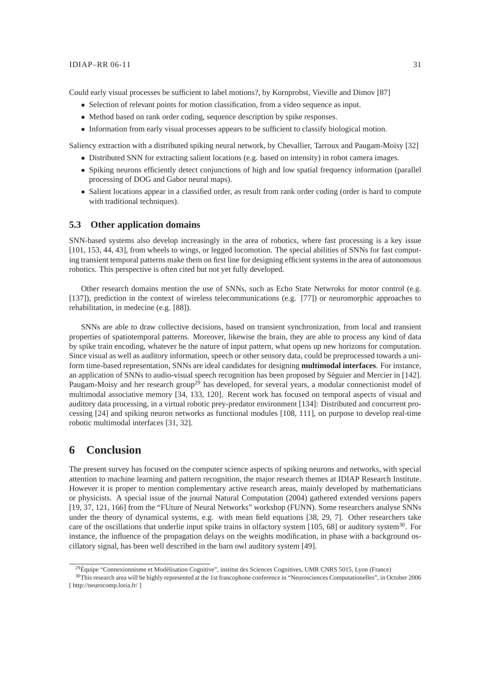#### $IDIAP-RR 06-11$  31

Could early visual processes be sufficient to label motions?, by Kornprobst, Vieville and Dimov [87]

- Selection of relevant points for motion classification, from a video sequence as input.
- Method based on rank order coding, sequence description by spike responses.
- Information from early visual processes appears to be sufficient to classify biological motion.

Saliency extraction with a distributed spiking neural network, by Chevallier, Tarroux and Paugam-Moisy [32]

- Distributed SNN for extracting salient locations (e.g. based on intensity) in robot camera images.
- Spiking neurons efficiently detect conjunctions of high and low spatial frequency information (parallel processing of DOG and Gabor neural maps).
- Salient locations appear in a classified order, as result from rank order coding (order is hard to compute with traditional techniques).

# **5.3 Other application domains**

SNN-based systems also develop increasingly in the area of robotics, where fast processing is a key issue [101, 153, 44, 43], from wheels to wings, or legged locomotion. The special abilities of SNNs for fast computing transient temporal patterns make them on first line for designing efficient systems in the area of autonomous robotics. This perspective is often cited but not yet fully developed.

Other research domains mention the use of SNNs, such as Echo State Netwroks for motor control (e.g. [137]), prediction in the context of wireless telecommunications (e.g. [77]) or neuromorphic approaches to rehabilitation, in medecine (e.g. [88]).

SNNs are able to draw collective decisions, based on transient synchronization, from local and transient properties of spatiotemporal patterns. Moreover, likewise the brain, they are able to process any kind of data by spike train encoding, whatever be the nature of input pattern, what opens up new horizons for computation. Since visual as well as auditory information, speech or other sensory data, could be preprocessed towards a uniform time-based representation, SNNs are ideal candidates for designing **multimodal interfaces**. For instance, an application of SNNs to audio-visual speech recognition has been proposed by Séguier and Mercier in [142]. Paugam-Moisy and her research group<sup>29</sup> has developed, for several years, a modular connectionist model of multimodal associative memory [34, 133, 120]. Recent work has focused on temporal aspects of visual and auditory data processing, in a virtual robotic prey-predator environment [134]: Distributed and concurrent processing [24] and spiking neuron networks as functional modules [108, 111], on purpose to develop real-time robotic multimodal interfaces [31, 32].

# **6 Conclusion**

The present survey has focused on the computer science aspects of spiking neurons and networks, with special attention to machine learning and pattern recognition, the major research themes at IDIAP Research Institute. However it is proper to mention complementary active research areas, mainly developed by mathematicians or physicists. A special issue of the journal Natural Computation (2004) gathered extended versions papers [19, 37, 121, 166] from the "FUture of Neural Networks" workshop (FUNN). Some researchers analyse SNNs under the theory of dynamical systems, e.g. with mean field equations [38, 29, 7]. Other researchers take care of the oscillations that underlie input spike trains in olfactory system [105, 68] or auditory system<sup>30</sup>. For instance, the influence of the propagation delays on the weights modification, in phase with a background oscillatory signal, has been well described in the barn owl auditory system [49].

 $^{29}$ Équipe "Connexionnisme et Modélisation Cognitive", institut des Sciences Cognitives, UMR CNRS 5015, Lyon (France)

<sup>30</sup>This research area will be highly represented at the 1st francophone conference in "Neurosciences Computationelles", in October 2006 [ http://neurocomp.loria.fr/ ]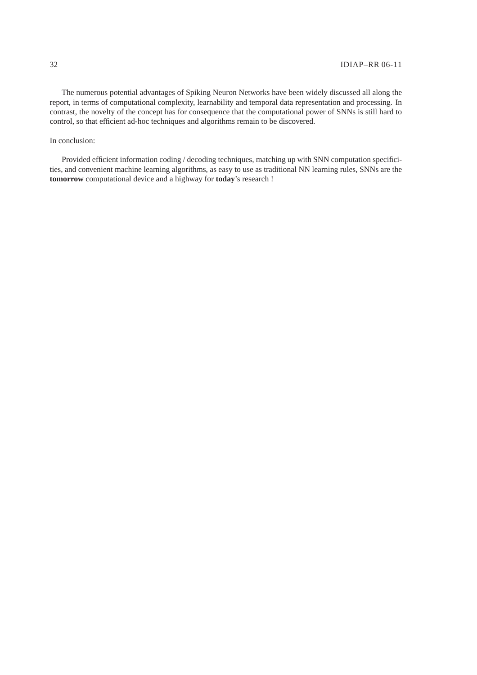The numerous potential advantages of Spiking Neuron Networks have been widely discussed all along the report, in terms of computational complexity, learnability and temporal data representation and processing. In contrast, the novelty of the concept has for consequence that the computational power of SNNs is still hard to control, so that efficient ad-hoc techniques and algorithms remain to be discovered.

### In conclusion:

Provided efficient information coding / decoding techniques, matching up with SNN computation specificities, and convenient machine learning algorithms, as easy to use as traditional NN learning rules, SNNs are the **tomorrow** computational device and a highway for **today**'s research !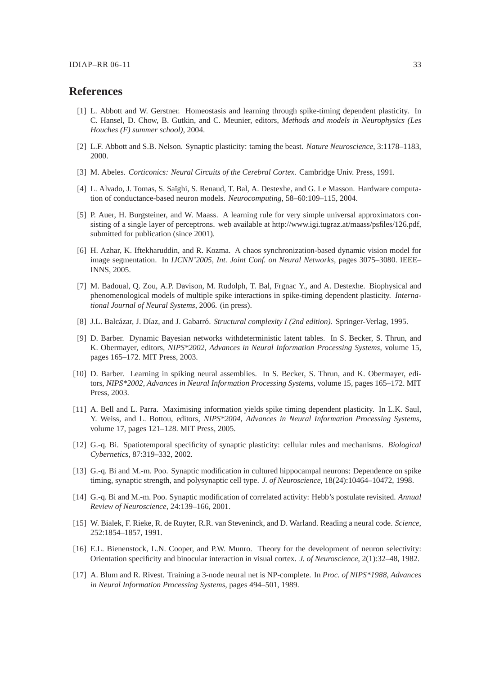# **References**

- [1] L. Abbott and W. Gerstner. Homeostasis and learning through spike-timing dependent plasticity. In C. Hansel, D. Chow, B. Gutkin, and C. Meunier, editors, *Methods and models in Neurophysics (Les Houches (F) summer school)*, 2004.
- [2] L.F. Abbott and S.B. Nelson. Synaptic plasticity: taming the beast. *Nature Neuroscience*, 3:1178–1183, 2000.
- [3] M. Abeles. *Corticonics: Neural Circuits of the Cerebral Cortex*. Cambridge Univ. Press, 1991.
- [4] L. Alvado, J. Tomas, S. Saïghi, S. Renaud, T. Bal, A. Destexhe, and G. Le Masson. Hardware computation of conductance-based neuron models. *Neurocomputing*, 58–60:109–115, 2004.
- [5] P. Auer, H. Burgsteiner, and W. Maass. A learning rule for very simple universal approximators consisting of a single layer of perceptrons. web available at http://www.igi.tugraz.at/maass/psfiles/126.pdf, submitted for publication (since 2001).
- [6] H. Azhar, K. Iftekharuddin, and R. Kozma. A chaos synchronization-based dynamic vision model for image segmentation. In *IJCNN'2005, Int. Joint Conf. on Neural Networks*, pages 3075–3080. IEEE– INNS, 2005.
- [7] M. Badoual, Q. Zou, A.P. Davison, M. Rudolph, T. Bal, Frgnac Y., and A. Destexhe. Biophysical and phenomenological models of multiple spike interactions in spike-timing dependent plasticity. *International Journal of Neural Systems*, 2006. (in press).
- [8] J.L. Balcázar, J. Díaz, and J. Gabarró. *Structural complexity I (2nd edition)*. Springer-Verlag, 1995.
- [9] D. Barber. Dynamic Bayesian networks withdeterministic latent tables. In S. Becker, S. Thrun, and K. Obermayer, editors, *NIPS\*2002, Advances in Neural Information Processing Systems*, volume 15, pages 165–172. MIT Press, 2003.
- [10] D. Barber. Learning in spiking neural assemblies. In S. Becker, S. Thrun, and K. Obermayer, editors, *NIPS\*2002, Advances in Neural Information Processing Systems*, volume 15, pages 165–172. MIT Press, 2003.
- [11] A. Bell and L. Parra. Maximising information yields spike timing dependent plasticity. In L.K. Saul, Y. Weiss, and L. Bottou, editors, *NIPS\*2004, Advances in Neural Information Processing Systems*, volume 17, pages 121–128. MIT Press, 2005.
- [12] G.-q. Bi. Spatiotemporal specificity of synaptic plasticity: cellular rules and mechanisms. *Biological Cybernetics*, 87:319–332, 2002.
- [13] G.-q. Bi and M.-m. Poo. Synaptic modification in cultured hippocampal neurons: Dependence on spike timing, synaptic strength, and polysynaptic cell type. *J. of Neuroscience*, 18(24):10464–10472, 1998.
- [14] G.-q. Bi and M.-m. Poo. Synaptic modification of correlated activity: Hebb's postulate revisited. *Annual Review of Neuroscience*, 24:139–166, 2001.
- [15] W. Bialek, F. Rieke, R. de Ruyter, R.R. van Steveninck, and D. Warland. Reading a neural code. *Science*, 252:1854–1857, 1991.
- [16] E.L. Bienenstock, L.N. Cooper, and P.W. Munro. Theory for the development of neuron selectivity: Orientation specificity and binocular interaction in visual cortex. *J. of Neuroscience*, 2(1):32–48, 1982.
- [17] A. Blum and R. Rivest. Training a 3-node neural net is NP-complete. In *Proc. of NIPS\*1988, Advances in Neural Information Processing Systems*, pages 494–501, 1989.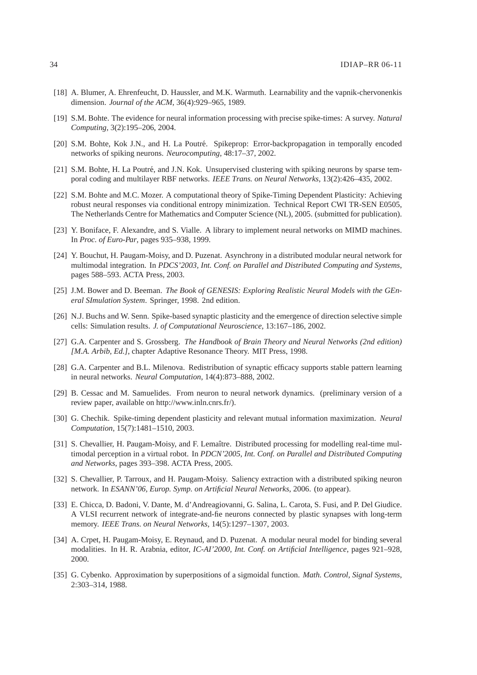- [18] A. Blumer, A. Ehrenfeucht, D. Haussler, and M.K. Warmuth. Learnability and the vapnik-chervonenkis dimension. *Journal of the ACM*, 36(4):929–965, 1989.
- [19] S.M. Bohte. The evidence for neural information processing with precise spike-times: A survey. *Natural Computing*, 3(2):195–206, 2004.
- [20] S.M. Bohte, Kok J.N., and H. La Poutré. Spikeprop: Error-backpropagation in temporally encoded networks of spiking neurons. *Neurocomputing*, 48:17–37, 2002.
- [21] S.M. Bohte, H. La Poutré, and J.N. Kok. Unsupervised clustering with spiking neurons by sparse temporal coding and multilayer RBF networks. *IEEE Trans. on Neural Networks*, 13(2):426–435, 2002.
- [22] S.M. Bohte and M.C. Mozer. A computational theory of Spike-Timing Dependent Plasticity: Achieving robust neural responses via conditional entropy minimization. Technical Report CWI TR-SEN E0505, The Netherlands Centre for Mathematics and Computer Science (NL), 2005. (submitted for publication).
- [23] Y. Boniface, F. Alexandre, and S. Vialle. A library to implement neural networks on MIMD machines. In *Proc. of Euro-Par*, pages 935–938, 1999.
- [24] Y. Bouchut, H. Paugam-Moisy, and D. Puzenat. Asynchrony in a distributed modular neural network for multimodal integration. In *PDCS'2003, Int. Conf. on Parallel and Distributed Computing and Systems*, pages 588–593. ACTA Press, 2003.
- [25] J.M. Bower and D. Beeman. *The Book of GENESIS: Exploring Realistic Neural Models with the GEneral SImulation System*. Springer, 1998. 2nd edition.
- [26] N.J. Buchs and W. Senn. Spike-based synaptic plasticity and the emergence of direction selective simple cells: Simulation results. *J. of Computational Neuroscience*, 13:167–186, 2002.
- [27] G.A. Carpenter and S. Grossberg. *The Handbook of Brain Theory and Neural Networks (2nd edition) [M.A. Arbib, Ed.]*, chapter Adaptive Resonance Theory. MIT Press, 1998.
- [28] G.A. Carpenter and B.L. Milenova. Redistribution of synaptic efficacy supports stable pattern learning in neural networks. *Neural Computation*, 14(4):873–888, 2002.
- [29] B. Cessac and M. Samuelides. From neuron to neural network dynamics. (preliminary version of a review paper, available on http://www.inln.cnrs.fr/).
- [30] G. Chechik. Spike-timing dependent plasticity and relevant mutual information maximization. *Neural Computation*, 15(7):1481–1510, 2003.
- [31] S. Chevallier, H. Paugam-Moisy, and F. Lemaître. Distributed processing for modelling real-time multimodal perception in a virtual robot. In *PDCN'2005, Int. Conf. on Parallel and Distributed Computing and Networks*, pages 393–398. ACTA Press, 2005.
- [32] S. Chevallier, P. Tarroux, and H. Paugam-Moisy. Saliency extraction with a distributed spiking neuron network. In *ESANN'06, Europ. Symp. on Artificial Neural Networks*, 2006. (to appear).
- [33] E. Chicca, D. Badoni, V. Dante, M. d'Andreagiovanni, G. Salina, L. Carota, S. Fusi, and P. Del Giudice. A VLSI recurrent network of integrate-and-fie neurons connected by plastic synapses with long-term memory. *IEEE Trans. on Neural Networks*, 14(5):1297–1307, 2003.
- [34] A. Crpet, H. Paugam-Moisy, E. Reynaud, and D. Puzenat. A modular neural model for binding several modalities. In H. R. Arabnia, editor, *IC-AI'2000, Int. Conf. on Artificial Intelligence*, pages 921–928, 2000.
- [35] G. Cybenko. Approximation by superpositions of a sigmoidal function. *Math. Control, Signal Systems*, 2:303–314, 1988.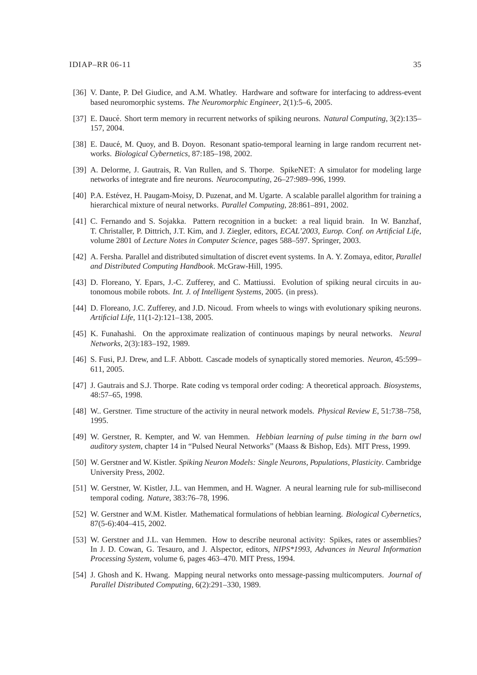- [36] V. Dante, P. Del Giudice, and A.M. Whatley. Hardware and software for interfacing to address-event based neuromorphic systems. *The Neuromorphic Engineer*, 2(1):5–6, 2005.
- [37] E. Daucé. Short term memory in recurrent networks of spiking neurons. *Natural Computing*, 3(2):135– 157, 2004.
- [38] E. Daucé, M. Quoy, and B. Doyon. Resonant spatio-temporal learning in large random recurrent networks. *Biological Cybernetics*, 87:185–198, 2002.
- [39] A. Delorme, J. Gautrais, R. Van Rullen, and S. Thorpe. SpikeNET: A simulator for modeling large networks of integrate and fire neurons. *Neurocomputing*, 26–27:989–996, 1999.
- [40] P.A. Estévez, H. Paugam-Moisy, D. Puzenat, and M. Ugarte. A scalable parallel algorithm for training a hierarchical mixture of neural networks. *Parallel Computing*, 28:861–891, 2002.
- [41] C. Fernando and S. Sojakka. Pattern recognition in a bucket: a real liquid brain. In W. Banzhaf, T. Christaller, P. Dittrich, J.T. Kim, and J. Ziegler, editors, *ECAL'2003, Europ. Conf. on Artificial Life*, volume 2801 of *Lecture Notes in Computer Science*, pages 588–597. Springer, 2003.
- [42] A. Fersha. Parallel and distributed simultation of discret event systems. In A. Y. Zomaya, editor, *Parallel and Distributed Computing Handbook*. McGraw-Hill, 1995.
- [43] D. Floreano, Y. Epars, J.-C. Zufferey, and C. Mattiussi. Evolution of spiking neural circuits in autonomous mobile robots. *Int. J. of Intelligent Systems*, 2005. (in press).
- [44] D. Floreano, J.C. Zufferey, and J.D. Nicoud. From wheels to wings with evolutionary spiking neurons. *Artificial Life*, 11(1-2):121–138, 2005.
- [45] K. Funahashi. On the approximate realization of continuous mapings by neural networks. *Neural Networks*, 2(3):183–192, 1989.
- [46] S. Fusi, P.J. Drew, and L.F. Abbott. Cascade models of synaptically stored memories. *Neuron*, 45:599– 611, 2005.
- [47] J. Gautrais and S.J. Thorpe. Rate coding vs temporal order coding: A theoretical approach. *Biosystems*, 48:57–65, 1998.
- [48] W.. Gerstner. Time structure of the activity in neural network models. *Physical Review E*, 51:738–758, 1995.
- [49] W. Gerstner, R. Kempter, and W. van Hemmen. *Hebbian learning of pulse timing in the barn owl auditory system*, chapter 14 in "Pulsed Neural Networks" (Maass & Bishop, Eds). MIT Press, 1999.
- [50] W. Gerstner and W. Kistler. *Spiking Neuron Models: Single Neurons, Populations, Plasticity*. Cambridge University Press, 2002.
- [51] W. Gerstner, W. Kistler, J.L. van Hemmen, and H. Wagner. A neural learning rule for sub-millisecond temporal coding. *Nature*, 383:76–78, 1996.
- [52] W. Gerstner and W.M. Kistler. Mathematical formulations of hebbian learning. *Biological Cybernetics*, 87(5-6):404–415, 2002.
- [53] W. Gerstner and J.L. van Hemmen. How to describe neuronal activity: Spikes, rates or assemblies? In J. D. Cowan, G. Tesauro, and J. Alspector, editors, *NIPS\*1993, Advances in Neural Information Processing System*, volume 6, pages 463–470. MIT Press, 1994.
- [54] J. Ghosh and K. Hwang. Mapping neural networks onto message-passing multicomputers. *Journal of Parallel Distributed Computing*, 6(2):291–330, 1989.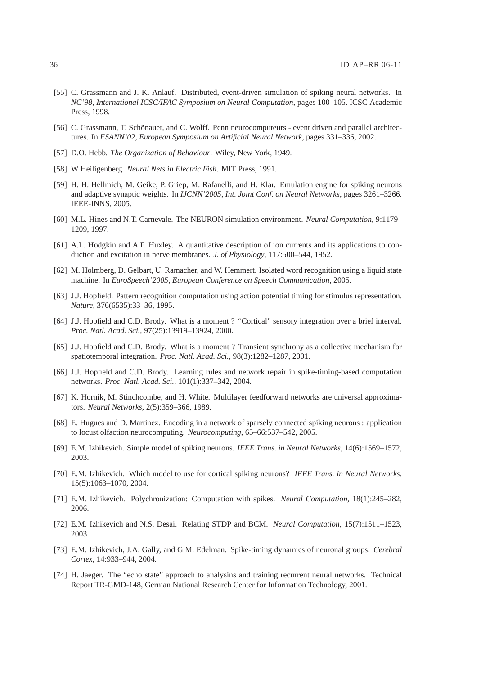- [55] C. Grassmann and J. K. Anlauf. Distributed, event-driven simulation of spiking neural networks. In *NC'98, International ICSC/IFAC Symposium on Neural Computation*, pages 100–105. ICSC Academic Press, 1998.
- [56] C. Grassmann, T. Schönauer, and C. Wolff. Pcnn neurocomputeurs event driven and parallel architectures. In *ESANN'02, European Symposium on Artificial Neural Network*, pages 331–336, 2002.
- [57] D.O. Hebb. *The Organization of Behaviour*. Wiley, New York, 1949.
- [58] W Heiligenberg. *Neural Nets in Electric Fish*. MIT Press, 1991.
- [59] H. H. Hellmich, M. Geike, P. Griep, M. Rafanelli, and H. Klar. Emulation engine for spiking neurons and adaptive synaptic weights. In *IJCNN'2005, Int. Joint Conf. on Neural Networks*, pages 3261–3266. IEEE-INNS, 2005.
- [60] M.L. Hines and N.T. Carnevale. The NEURON simulation environment. *Neural Computation*, 9:1179– 1209, 1997.
- [61] A.L. Hodgkin and A.F. Huxley. A quantitative description of ion currents and its applications to conduction and excitation in nerve membranes. *J. of Physiology*, 117:500–544, 1952.
- [62] M. Holmberg, D. Gelbart, U. Ramacher, and W. Hemmert. Isolated word recognition using a liquid state machine. In *EuroSpeech'2005, European Conference on Speech Communication*, 2005.
- [63] J.J. Hopfield. Pattern recognition computation using action potential timing for stimulus representation. *Nature*, 376(6535):33–36, 1995.
- [64] J.J. Hopfield and C.D. Brody. What is a moment ? "Cortical" sensory integration over a brief interval. *Proc. Natl. Acad. Sci.*, 97(25):13919–13924, 2000.
- [65] J.J. Hopfield and C.D. Brody. What is a moment ? Transient synchrony as a collective mechanism for spatiotemporal integration. *Proc. Natl. Acad. Sci.*, 98(3):1282–1287, 2001.
- [66] J.J. Hopfield and C.D. Brody. Learning rules and network repair in spike-timing-based computation networks. *Proc. Natl. Acad. Sci.*, 101(1):337–342, 2004.
- [67] K. Hornik, M. Stinchcombe, and H. White. Multilayer feedforward networks are universal approximators. *Neural Networks*, 2(5):359–366, 1989.
- [68] E. Hugues and D. Martinez. Encoding in a network of sparsely connected spiking neurons : application to locust olfaction neurocomputing. *Neurocomputing*, 65–66:537–542, 2005.
- [69] E.M. Izhikevich. Simple model of spiking neurons. *IEEE Trans. in Neural Networks*, 14(6):1569–1572, 2003.
- [70] E.M. Izhikevich. Which model to use for cortical spiking neurons? *IEEE Trans. in Neural Networks*, 15(5):1063–1070, 2004.
- [71] E.M. Izhikevich. Polychronization: Computation with spikes. *Neural Computation*, 18(1):245–282, 2006.
- [72] E.M. Izhikevich and N.S. Desai. Relating STDP and BCM. *Neural Computation*, 15(7):1511–1523, 2003.
- [73] E.M. Izhikevich, J.A. Gally, and G.M. Edelman. Spike-timing dynamics of neuronal groups. *Cerebral Cortex*, 14:933–944, 2004.
- [74] H. Jaeger. The "echo state" approach to analysins and training recurrent neural networks. Technical Report TR-GMD-148, German National Research Center for Information Technology, 2001.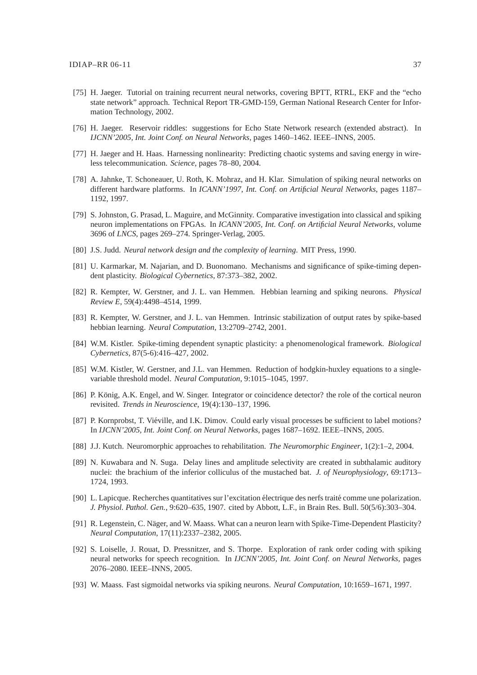- [75] H. Jaeger. Tutorial on training recurrent neural networks, covering BPTT, RTRL, EKF and the "echo state network" approach. Technical Report TR-GMD-159, German National Research Center for Information Technology, 2002.
- [76] H. Jaeger. Reservoir riddles: suggestions for Echo State Network research (extended abstract). In *IJCNN'2005, Int. Joint Conf. on Neural Networks*, pages 1460–1462. IEEE–INNS, 2005.
- [77] H. Jaeger and H. Haas. Harnessing nonlinearity: Predicting chaotic systems and saving energy in wireless telecommunication. *Science*, pages 78–80, 2004.
- [78] A. Jahnke, T. Schoneauer, U. Roth, K. Mohraz, and H. Klar. Simulation of spiking neural networks on different hardware platforms. In *ICANN'1997, Int. Conf. on Artificial Neural Networks*, pages 1187– 1192, 1997.
- [79] S. Johnston, G. Prasad, L. Maguire, and McGinnity. Comparative investigation into classical and spiking neuron implementations on FPGAs. In *ICANN'2005, Int. Conf. on Artificial Neural Networks*, volume 3696 of *LNCS*, pages 269–274. Springer-Verlag, 2005.
- [80] J.S. Judd. *Neural network design and the complexity of learning*. MIT Press, 1990.
- [81] U. Karmarkar, M. Najarian, and D. Buonomano. Mechanisms and significance of spike-timing dependent plasticity. *Biological Cybernetics*, 87:373–382, 2002.
- [82] R. Kempter, W. Gerstner, and J. L. van Hemmen. Hebbian learning and spiking neurons. *Physical Review E*, 59(4):4498–4514, 1999.
- [83] R. Kempter, W. Gerstner, and J. L. van Hemmen. Intrinsic stabilization of output rates by spike-based hebbian learning. *Neural Computation*, 13:2709–2742, 2001.
- [84] W.M. Kistler. Spike-timing dependent synaptic plasticity: a phenomenological framework. *Biological Cybernetics*, 87(5-6):416–427, 2002.
- [85] W.M. Kistler, W. Gerstner, and J.L. van Hemmen. Reduction of hodgkin-huxley equations to a singlevariable threshold model. *Neural Computation*, 9:1015–1045, 1997.
- [86] P. König, A.K. Engel, and W. Singer. Integrator or coincidence detector? the role of the cortical neuron revisited. *Trends in Neuroscience*, 19(4):130–137, 1996.
- [87] P. Kornprobst, T. Viéville, and I.K. Dimov. Could early visual processes be sufficient to label motions? In *IJCNN'2005, Int. Joint Conf. on Neural Networks*, pages 1687–1692. IEEE–INNS, 2005.
- [88] J.J. Kutch. Neuromorphic approaches to rehabilitation. *The Neuromorphic Engineer*, 1(2):1–2, 2004.
- [89] N. Kuwabara and N. Suga. Delay lines and amplitude selectivity are created in subthalamic auditory nuclei: the brachium of the inferior colliculus of the mustached bat. *J. of Neurophysiology*, 69:1713– 1724, 1993.
- [90] L. Lapicque. Recherches quantitatives sur l'excitation électrique des nerfs traité comme une polarization. *J. Physiol. Pathol. Gen.*, 9:620–635, 1907. cited by Abbott, L.F., in Brain Res. Bull. 50(5/6):303–304.
- [91] R. Legenstein, C. Näger, and W. Maass. What can a neuron learn with Spike-Time-Dependent Plasticity? *Neural Computation*, 17(11):2337–2382, 2005.
- [92] S. Loiselle, J. Rouat, D. Pressnitzer, and S. Thorpe. Exploration of rank order coding with spiking neural networks for speech recognition. In *IJCNN'2005, Int. Joint Conf. on Neural Networks*, pages 2076–2080. IEEE–INNS, 2005.
- [93] W. Maass. Fast sigmoidal networks via spiking neurons. *Neural Computation*, 10:1659–1671, 1997.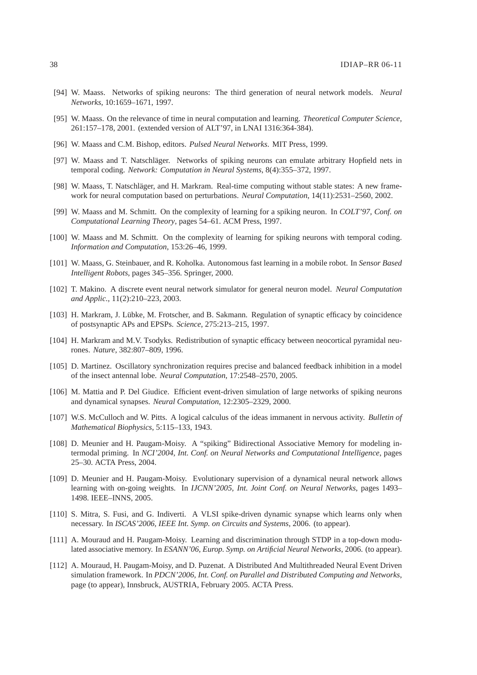- [94] W. Maass. Networks of spiking neurons: The third generation of neural network models. *Neural Networks*, 10:1659–1671, 1997.
- [95] W. Maass. On the relevance of time in neural computation and learning. *Theoretical Computer Science*, 261:157–178, 2001. (extended version of ALT'97, in LNAI 1316:364-384).
- [96] W. Maass and C.M. Bishop, editors. *Pulsed Neural Networks*. MIT Press, 1999.
- [97] W. Maass and T. Natschläger. Networks of spiking neurons can emulate arbitrary Hopfield nets in temporal coding. *Network: Computation in Neural Systems*, 8(4):355–372, 1997.
- [98] W. Maass, T. Natschläger, and H. Markram. Real-time computing without stable states: A new framework for neural computation based on perturbations. *Neural Computation*, 14(11):2531–2560, 2002.
- [99] W. Maass and M. Schmitt. On the complexity of learning for a spiking neuron. In *COLT'97, Conf. on Computational Learning Theory*, pages 54–61. ACM Press, 1997.
- [100] W. Maass and M. Schmitt. On the complexity of learning for spiking neurons with temporal coding. *Information and Computation*, 153:26–46, 1999.
- [101] W. Maass, G. Steinbauer, and R. Koholka. Autonomous fast learning in a mobile robot. In *Sensor Based Intelligent Robots*, pages 345–356. Springer, 2000.
- [102] T. Makino. A discrete event neural network simulator for general neuron model. *Neural Computation and Applic.*, 11(2):210–223, 2003.
- [103] H. Markram, J. Lübke, M. Frotscher, and B. Sakmann. Regulation of synaptic efficacy by coincidence of postsynaptic APs and EPSPs. *Science*, 275:213–215, 1997.
- [104] H. Markram and M.V. Tsodyks. Redistribution of synaptic efficacy between neocortical pyramidal neurones. *Nature*, 382:807–809, 1996.
- [105] D. Martinez. Oscillatory synchronization requires precise and balanced feedback inhibition in a model of the insect antennal lobe. *Neural Computation*, 17:2548–2570, 2005.
- [106] M. Mattia and P. Del Giudice. Efficient event-driven simulation of large networks of spiking neurons and dynamical synapses. *Neural Computation*, 12:2305–2329, 2000.
- [107] W.S. McCulloch and W. Pitts. A logical calculus of the ideas immanent in nervous activity. *Bulletin of Mathematical Biophysics*, 5:115–133, 1943.
- [108] D. Meunier and H. Paugam-Moisy. A "spiking" Bidirectional Associative Memory for modeling intermodal priming. In *NCI'2004, Int. Conf. on Neural Networks and Computational Intelligence*, pages 25–30. ACTA Press, 2004.
- [109] D. Meunier and H. Paugam-Moisy. Evolutionary supervision of a dynamical neural network allows learning with on-going weights. In *IJCNN'2005, Int. Joint Conf. on Neural Networks*, pages 1493– 1498. IEEE–INNS, 2005.
- [110] S. Mitra, S. Fusi, and G. Indiverti. A VLSI spike-driven dynamic synapse which learns only when necessary. In *ISCAS'2006, IEEE Int. Symp. on Circuits and Systems*, 2006. (to appear).
- [111] A. Mouraud and H. Paugam-Moisy. Learning and discrimination through STDP in a top-down modulated associative memory. In *ESANN'06, Europ. Symp. on Artificial Neural Networks*, 2006. (to appear).
- [112] A. Mouraud, H. Paugam-Moisy, and D. Puzenat. A Distributed And Multithreaded Neural Event Driven simulation framework. In *PDCN'2006, Int. Conf. on Parallel and Distributed Computing and Networks*, page (to appear), Innsbruck, AUSTRIA, February 2005. ACTA Press.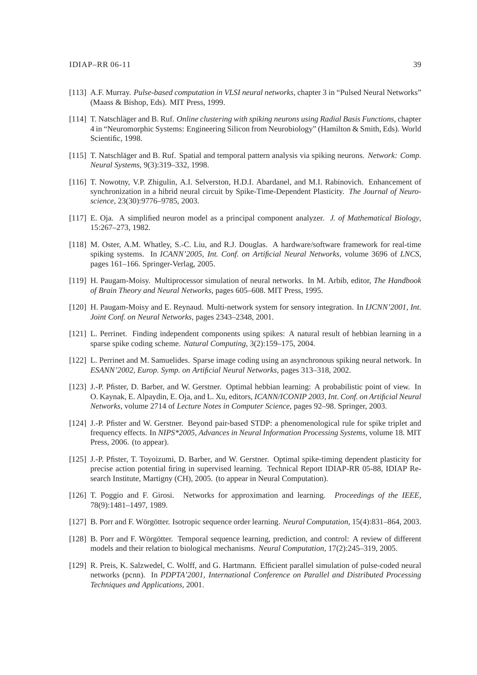- [113] A.F. Murray. *Pulse-based computation in VLSI neural networks*, chapter 3 in "Pulsed Neural Networks" (Maass & Bishop, Eds). MIT Press, 1999.
- [114] T. Natschläger and B. Ruf. *Online clustering with spiking neurons using Radial Basis Functions*, chapter 4 in "Neuromorphic Systems: Engineering Silicon from Neurobiology" (Hamilton & Smith, Eds). World Scientific, 1998.
- [115] T. Natschläger and B. Ruf. Spatial and temporal pattern analysis via spiking neurons. *Network: Comp. Neural Systems*, 9(3):319–332, 1998.
- [116] T. Nowotny, V.P. Zhigulin, A.I. Selverston, H.D.I. Abardanel, and M.I. Rabinovich. Enhancement of synchronization in a hibrid neural circuit by Spike-Time-Dependent Plasticity. *The Journal of Neuroscience*, 23(30):9776–9785, 2003.
- [117] E. Oja. A simplified neuron model as a principal component analyzer. *J. of Mathematical Biology*, 15:267–273, 1982.
- [118] M. Oster, A.M. Whatley, S.-C. Liu, and R.J. Douglas. A hardware/software framework for real-time spiking systems. In *ICANN'2005, Int. Conf. on Artificial Neural Networks*, volume 3696 of *LNCS*, pages 161–166. Springer-Verlag, 2005.
- [119] H. Paugam-Moisy. Multiprocessor simulation of neural networks. In M. Arbib, editor, *The Handbook of Brain Theory and Neural Networks*, pages 605–608. MIT Press, 1995.
- [120] H. Paugam-Moisy and E. Reynaud. Multi-network system for sensory integration. In *IJCNN'2001, Int. Joint Conf. on Neural Networks*, pages 2343–2348, 2001.
- [121] L. Perrinet. Finding independent components using spikes: A natural result of hebbian learning in a sparse spike coding scheme. *Natural Computing*, 3(2):159–175, 2004.
- [122] L. Perrinet and M. Samuelides. Sparse image coding using an asynchronous spiking neural network. In *ESANN'2002, Europ. Symp. on Artificial Neural Networks*, pages 313–318, 2002.
- [123] J.-P. Pfister, D. Barber, and W. Gerstner. Optimal hebbian learning: A probabilistic point of view. In O. Kaynak, E. Alpaydin, E. Oja, and L. Xu, editors, *ICANN/ICONIP 2003, Int. Conf. on Artificial Neural Networks*, volume 2714 of *Lecture Notes in Computer Science*, pages 92–98. Springer, 2003.
- [124] J.-P. Pfister and W. Gerstner. Beyond pair-based STDP: a phenomenological rule for spike triplet and frequency effects. In *NIPS\*2005, Advances in Neural Information Processing Systems*, volume 18. MIT Press, 2006. (to appear).
- [125] J.-P. Pfister, T. Toyoizumi, D. Barber, and W. Gerstner. Optimal spike-timing dependent plasticity for precise action potential firing in supervised learning. Technical Report IDIAP-RR 05-88, IDIAP Research Institute, Martigny (CH), 2005. (to appear in Neural Computation).
- [126] T. Poggio and F. Girosi. Networks for approximation and learning. *Proceedings of the IEEE*, 78(9):1481–1497, 1989.
- [127] B. Porr and F. Wörgötter. Isotropic sequence order learning. *Neural Computation*, 15(4):831–864, 2003.
- [128] B. Porr and F. Wörgötter. Temporal sequence learning, prediction, and control: A review of different models and their relation to biological mechanisms. *Neural Computation*, 17(2):245–319, 2005.
- [129] R. Preis, K. Salzwedel, C. Wolff, and G. Hartmann. Efficient parallel simulation of pulse-coded neural networks (pcnn). In *PDPTA'2001, International Conference on Parallel and Distributed Processing Techniques and Applications*, 2001.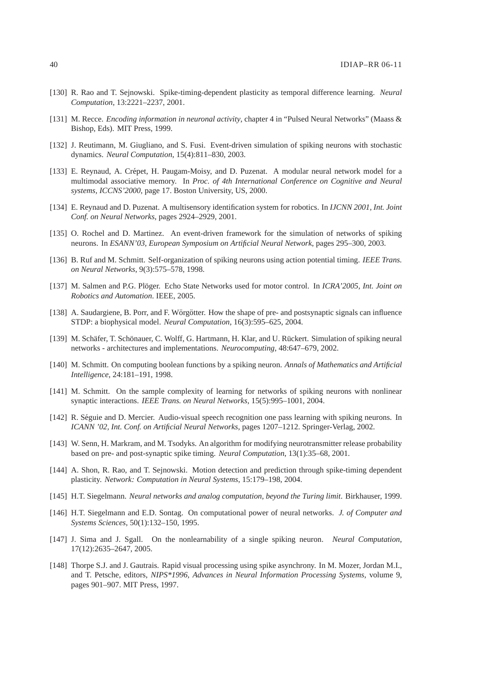- [130] R. Rao and T. Sejnowski. Spike-timing-dependent plasticity as temporal difference learning. *Neural Computation*, 13:2221–2237, 2001.
- [131] M. Recce. *Encoding information in neuronal activity*, chapter 4 in "Pulsed Neural Networks" (Maass & Bishop, Eds). MIT Press, 1999.
- [132] J. Reutimann, M. Giugliano, and S. Fusi. Event-driven simulation of spiking neurons with stochastic dynamics. *Neural Computation*, 15(4):811–830, 2003.
- [133] E. Reynaud, A. Crépet, H. Paugam-Moisy, and D. Puzenat. A modular neural network model for a multimodal associative memory. In *Proc. of 4th International Conference on Cognitive and Neural systems, ICCNS'2000*, page 17. Boston University, US, 2000.
- [134] E. Reynaud and D. Puzenat. A multisensory identification system for robotics. In *IJCNN 2001, Int. Joint Conf. on Neural Networks*, pages 2924–2929, 2001.
- [135] O. Rochel and D. Martinez. An event-driven framework for the simulation of networks of spiking neurons. In *ESANN'03, European Symposium on Artificial Neural Network*, pages 295–300, 2003.
- [136] B. Ruf and M. Schmitt. Self-organization of spiking neurons using action potential timing. *IEEE Trans. on Neural Networks*, 9(3):575–578, 1998.
- [137] M. Salmen and P.G. Plöger. Echo State Networks used for motor control. In *ICRA'2005, Int. Joint on Robotics and Automation*. IEEE, 2005.
- [138] A. Saudargiene, B. Porr, and F. Wörgötter. How the shape of pre- and postsynaptic signals can influence STDP: a biophysical model. *Neural Computation*, 16(3):595–625, 2004.
- [139] M. Schäfer, T. Schönauer, C. Wolff, G. Hartmann, H. Klar, and U. Rückert. Simulation of spiking neural networks - architectures and implementations. *Neurocomputing*, 48:647–679, 2002.
- [140] M. Schmitt. On computing boolean functions by a spiking neuron. *Annals of Mathematics and Artificial Intelligence*, 24:181–191, 1998.
- [141] M. Schmitt. On the sample complexity of learning for networks of spiking neurons with nonlinear synaptic interactions. *IEEE Trans. on Neural Networks*, 15(5):995–1001, 2004.
- [142] R. Séguie and D. Mercier. Audio-visual speech recognition one pass learning with spiking neurons. In *ICANN '02, Int. Conf. on Artificial Neural Networks*, pages 1207–1212. Springer-Verlag, 2002.
- [143] W. Senn, H. Markram, and M. Tsodyks. An algorithm for modifying neurotransmitter release probability based on pre- and post-synaptic spike timing. *Neural Computation*, 13(1):35–68, 2001.
- [144] A. Shon, R. Rao, and T. Sejnowski. Motion detection and prediction through spike-timing dependent plasticity. *Network: Computation in Neural Systems*, 15:179–198, 2004.
- [145] H.T. Siegelmann. *Neural networks and analog computation, beyond the Turing limit*. Birkhauser, 1999.
- [146] H.T. Siegelmann and E.D. Sontag. On computational power of neural networks. *J. of Computer and Systems Sciences*, 50(1):132–150, 1995.
- [147] J. Sima and J. Sgall. On the nonlearnability of a single spiking neuron. *Neural Computation*, 17(12):2635–2647, 2005.
- [148] Thorpe S.J. and J. Gautrais. Rapid visual processing using spike asynchrony. In M. Mozer, Jordan M.I., and T. Petsche, editors, *NIPS\*1996, Advances in Neural Information Processing Systems*, volume 9, pages 901–907. MIT Press, 1997.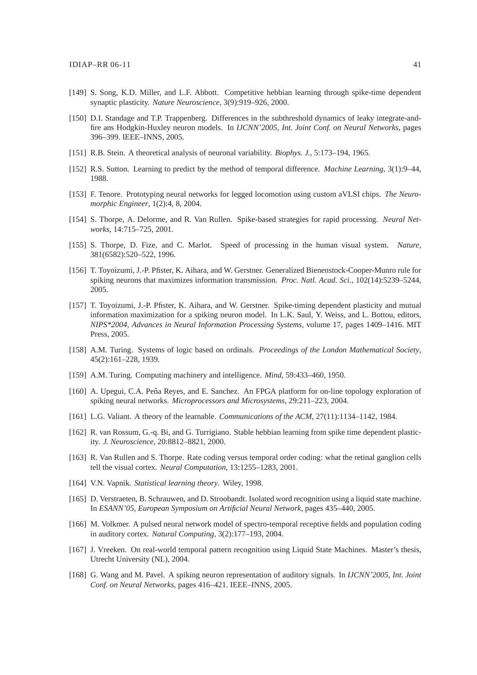- [149] S. Song, K.D. Miller, and L.F. Abbott. Competitive hebbian learning through spike-time dependent synaptic plasticity. *Nature Neuroscience*, 3(9):919–926, 2000.
- [150] D.I. Standage and T.P. Trappenberg. Differences in the subthreshold dynamics of leaky integrate-andfire ans Hodgkin-Huxley neuron models. In *IJCNN'2005, Int. Joint Conf. on Neural Networks*, pages 396–399. IEEE–INNS, 2005.
- [151] R.B. Stein. A theoretical analysis of neuronal variability. *Biophys. J.*, 5:173–194, 1965.
- [152] R.S. Sutton. Learning to predict by the method of temporal difference. *Machine Learning*, 3(1):9–44, 1988.
- [153] F. Tenore. Prototyping neural networks for legged locomotion using custom aVLSI chips. *The Neuromorphic Engineer*, 1(2):4, 8, 2004.
- [154] S. Thorpe, A. Delorme, and R. Van Rullen. Spike-based strategies for rapid processing. *Neural Networks*, 14:715–725, 2001.
- [155] S. Thorpe, D. Fize, and C. Marlot. Speed of processing in the human visual system. *Nature*, 381(6582):520–522, 1996.
- [156] T. Toyoizumi, J.-P. Pfister, K. Aihara, and W. Gerstner. Generalized Bienenstock-Cooper-Munro rule for spiking neurons that maximizes information transmission. *Proc. Natl. Acad. Sci.*, 102(14):5239–5244, 2005.
- [157] T. Toyoizumi, J.-P. Pfister, K. Aihara, and W. Gerstner. Spike-timing dependent plasticity and mutual information maximization for a spiking neuron model. In L.K. Saul, Y. Weiss, and L. Bottou, editors, *NIPS\*2004, Advances in Neural Information Processing Systems*, volume 17, pages 1409–1416. MIT Press, 2005.
- [158] A.M. Turing. Systems of logic based on ordinals. *Proceedings of the London Mathematical Society*, 45(2):161–228, 1939.
- [159] A.M. Turing. Computing machinery and intelligence. *Mind*, 59:433–460, 1950.
- [160] A. Upegui, C.A. Peña Reyes, and E. Sanchez. An FPGA platform for on-line topology exploration of spiking neural networks. *Microprocessors and Microsystems*, 29:211–223, 2004.
- [161] L.G. Valiant. A theory of the learnable. *Communications of the ACM*, 27(11):1134–1142, 1984.
- [162] R. van Rossum, G.-q. Bi, and G. Turrigiano. Stable hebbian learning from spike time dependent plasticity. *J. Neuroscience*, 20:8812–8821, 2000.
- [163] R. Van Rullen and S. Thorpe. Rate coding versus temporal order coding: what the retinal ganglion cells tell the visual cortex. *Neural Computation*, 13:1255–1283, 2001.
- [164] V.N. Vapnik. *Statistical learning theory*. Wiley, 1998.
- [165] D. Verstraeten, B. Schrauwen, and D. Stroobandt. Isolated word recognition using a liquid state machine. In *ESANN'05, European Symposium on Artificial Neural Network*, pages 435–440, 2005.
- [166] M. Volkmer. A pulsed neural network model of spectro-temporal receptive fields and population coding in auditory cortex. *Natural Computing*, 3(2):177–193, 2004.
- [167] J. Vreeken. On real-world temporal pattern recognition using Liquid State Machines. Master's thesis, Utrecht University (NL), 2004.
- [168] G. Wang and M. Pavel. A spiking neuron representation of auditory signals. In *IJCNN'2005, Int. Joint Conf. on Neural Networks*, pages 416–421. IEEE–INNS, 2005.